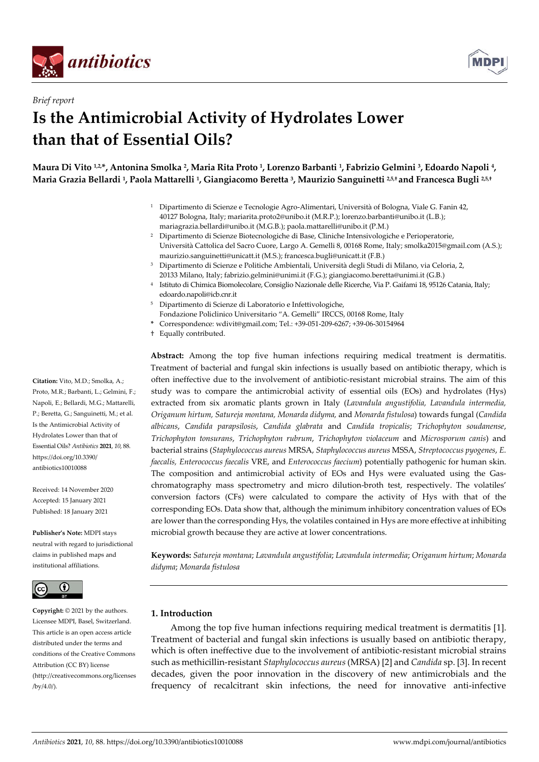



# *Brief report* **Is the Antimicrobial Activity of Hydrolates Lower than that of Essential Oils?**

**Maura Di Vito 1,2, \*, Antonina Smolka 2, Maria Rita Proto 1, Lorenzo Barbanti 1, Fabrizio Gelmini 3, Edoardo Napoli 4, Maria Grazia Bellardi 1, Paola Mattarelli 1, Giangiacomo Beretta 3, Maurizio Sanguinetti 2,5,† and Francesca Bugli 2,5,†**

- <sup>1</sup> Dipartimento di Scienze e Tecnologie Agro-Alimentari, Università of Bologna, Viale G. Fanin 42, 40127 Bologna, Italy; mariarita.proto2@unibo.it (M.R.P.); lorenzo.barbanti@unibo.it (L.B.); mariagrazia.bellardi@unibo.it (M.G.B.); paola.mattarelli@unibo.it (P.M.)
- <sup>2</sup> Dipartimento di Scienze Biotecnologiche di Base, Cliniche Intensivologiche e Perioperatorie, Università Cattolica del Sacro Cuore, Largo A. Gemelli 8, 00168 Rome, Italy; smolka2015@gmail.com (A.S.); maurizio.sanguinetti@unicatt.it (M.S.); francesca.bugli@unicatt.it (F.B.)
- <sup>3</sup> Dipartimento di Scienze e Politiche Ambientali, Università degli Studi di Milano, via Celoria, 2, 20133 Milano, Italy; fabrizio.gelmini@unimi.it (F.G.); giangiacomo.beretta@unimi.it (G.B.)
- <sup>4</sup> Istituto di Chimica Biomolecolare, Consiglio Nazionale delle Ricerche, Via P. Gaifami 18, 95126 Catania, Italy; edoardo.napoli@icb.cnr.it
- <sup>5</sup> Dipartimento di Scienze di Laboratorio e Infettivologiche,
- Fondazione Policlinico Universitario "A. Gemelli" IRCCS, 00168 Rome, Italy
- **\*** Correspondence: wdivit@gmail.com; Tel.: +39-051-209-6267; +39-06-30154964
- † Equally contributed.

**Abstract:** Among the top five human infections requiring medical treatment is dermatitis. Treatment of bacterial and fungal skin infections is usually based on antibiotic therapy, which is often ineffective due to the involvement of antibiotic-resistant microbial strains. The aim of this study was to compare the antimicrobial activity of essential oils (EOs) and hydrolates (Hys) extracted from six aromatic plants grown in Italy (*Lavandula angustifolia, Lavandula intermedia, Origanum hirtum, Satureja montana, Monarda didyma,* and *Monarda fistulosa*) towards fungal (*Candida albicans*, *Candida parapsilosis*, *Candida glabrata* and *Candida tropicalis*; *Trichophyton soudanense*, *Trichophyton tonsurans*, *Trichophyton rubrum*, *Trichophyton violaceum* and *Microsporum canis*) and bacterial strains (*Staphylococcus aureus* MRSA, *Staphylococcus aureus* MSSA, *Streptococcus pyogenes*, *E. faecalis, Enterococcus faecalis* VRE, and *Enterococcus faecium*) potentially pathogenic for human skin. The composition and antimicrobial activity of EOs and Hys were evaluated using the Gaschromatography mass spectrometry and micro dilution-broth test, respectively. The volatiles' conversion factors (CFs) were calculated to compare the activity of Hys with that of the corresponding EOs. Data show that, although the minimum inhibitory concentration values of EOs are lower than the corresponding Hys, the volatiles contained in Hys are more effective at inhibiting microbial growth because they are active at lower concentrations.

**Keywords:** *Satureja montana*; *Lavandula angustifolia*; *Lavandula intermedia*; *Origanum hirtum*; *Monarda didyma*; *Monarda fistulosa*

## **1. Introduction**

Among the top five human infections requiring medical treatment is dermatitis [1]. Treatment of bacterial and fungal skin infections is usually based on antibiotic therapy, which is often ineffective due to the involvement of antibiotic-resistant microbial strains such as methicillin-resistant *Staphylococcus aureus* (MRSA) [2] and *Candida* sp. [3]. In recent decades, given the poor innovation in the discovery of new antimicrobials and the frequency of recalcitrant skin infections, the need for innovative anti-infective

**Citation:** Vito, M.D.; Smolka, A.; Proto, M.R.; Barbanti, L.; Gelmini, F.; Napoli, E.; Bellardi, M.G.; Mattarelli, P.; Beretta, G.; Sanguinetti, M.; et al. Is the Antimicrobial Activity of Hydrolates Lower than that of Essential Oils? *Antibiotics* **2021**, *10*, 88. https://doi.org/10.3390/ antibiotics10010088

Received: 14 November 2020 Accepted: 15 January 2021 Published: 18 January 2021

**Publisher's Note:** MDPI stays neutral with regard to jurisdictional claims in published maps and institutional affiliations.



**Copyright:** © 2021 by the authors. Licensee MDPI, Basel, Switzerland. This article is an open access article distributed under the terms and conditions of the Creative Commons Attribution (CC BY) license (http://creativecommons.org/licenses /by/4.0/).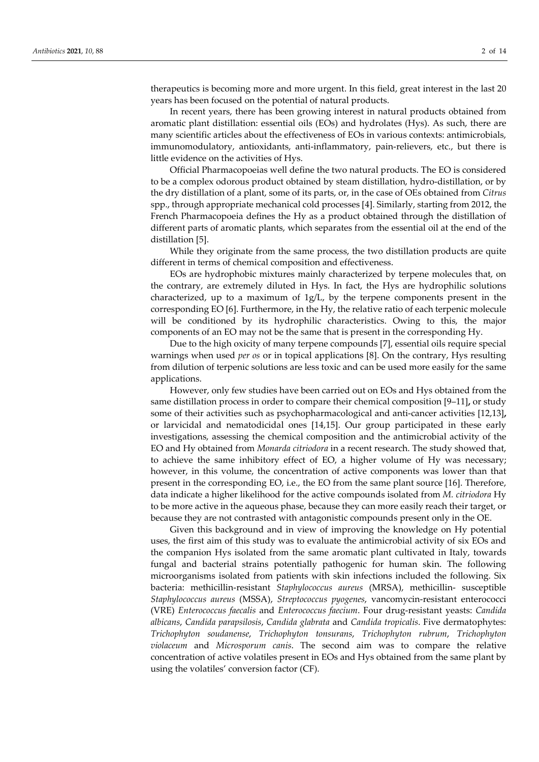therapeutics is becoming more and more urgent. In this field, great interest in the last 20 years has been focused on the potential of natural products.

In recent years, there has been growing interest in natural products obtained from aromatic plant distillation: essential oils (EOs) and hydrolates (Hys). As such, there are many scientific articles about the effectiveness of EOs in various contexts: antimicrobials, immunomodulatory, antioxidants, anti-inflammatory, pain-relievers, etc., but there is little evidence on the activities of Hys.

Official Pharmacopoeias well define the two natural products. The EO is considered to be a complex odorous product obtained by steam distillation, hydro-distillation, or by the dry distillation of a plant, some of its parts, or, in the case of OEs obtained from *Citrus* spp., through appropriate mechanical cold processes [4]. Similarly, starting from 2012, the French Pharmacopoeia defines the Hy as a product obtained through the distillation of different parts of aromatic plants, which separates from the essential oil at the end of the distillation [5].

While they originate from the same process, the two distillation products are quite different in terms of chemical composition and effectiveness.

EOs are hydrophobic mixtures mainly characterized by terpene molecules that, on the contrary, are extremely diluted in Hys. In fact, the Hys are hydrophilic solutions characterized, up to a maximum of 1g/L, by the terpene components present in the corresponding EO [6]. Furthermore, in the Hy, the relative ratio of each terpenic molecule will be conditioned by its hydrophilic characteristics. Owing to this, the major components of an EO may not be the same that is present in the corresponding Hy.

Due to the high oxicity of many terpene compounds [7], essential oils require special warnings when used *per os* or in topical applications [8]. On the contrary, Hys resulting from dilution of terpenic solutions are less toxic and can be used more easily for the same applications.

However, only few studies have been carried out on EOs and Hys obtained from the same distillation process in order to compare their chemical composition [9–11]**,** or study some of their activities such as psychopharmacological and anti-cancer activities [12,13]**,** or larvicidal and nematodicidal ones [14,15]. Our group participated in these early investigations, assessing the chemical composition and the antimicrobial activity of the EO and Hy obtained from *Monarda citriodora* in a recent research. The study showed that, to achieve the same inhibitory effect of EO, a higher volume of Hy was necessary; however, in this volume, the concentration of active components was lower than that present in the corresponding EO, i.e., the EO from the same plant source [16]. Therefore, data indicate a higher likelihood for the active compounds isolated from *M. citriodora* Hy to be more active in the aqueous phase, because they can more easily reach their target, or because they are not contrasted with antagonistic compounds present only in the OE.

Given this background and in view of improving the knowledge on Hy potential uses, the first aim of this study was to evaluate the antimicrobial activity of six EOs and the companion Hys isolated from the same aromatic plant cultivated in Italy, towards fungal and bacterial strains potentially pathogenic for human skin. The following microorganisms isolated from patients with skin infections included the following. Six bacteria: methicillin-resistant *Staphylococcus aureus* (MRSA), methicillin- susceptible *Staphylococcus aureus* (MSSA), *Streptococcus pyogenes*, vancomycin-resistant enterococci (VRE) *Enterococcus faecalis* and *Enterococcus faecium*. Four drug-resistant yeasts: *Candida albicans*, *Candida parapsilosis*, *Candida glabrata* and *Candida tropicalis*. Five dermatophytes: *Trichophyton soudanense*, *Trichophyton tonsurans*, *Trichophyton rubrum*, *Trichophyton violaceum* and *Microsporum canis*. The second aim was to compare the relative concentration of active volatiles present in EOs and Hys obtained from the same plant by using the volatiles' conversion factor (CF).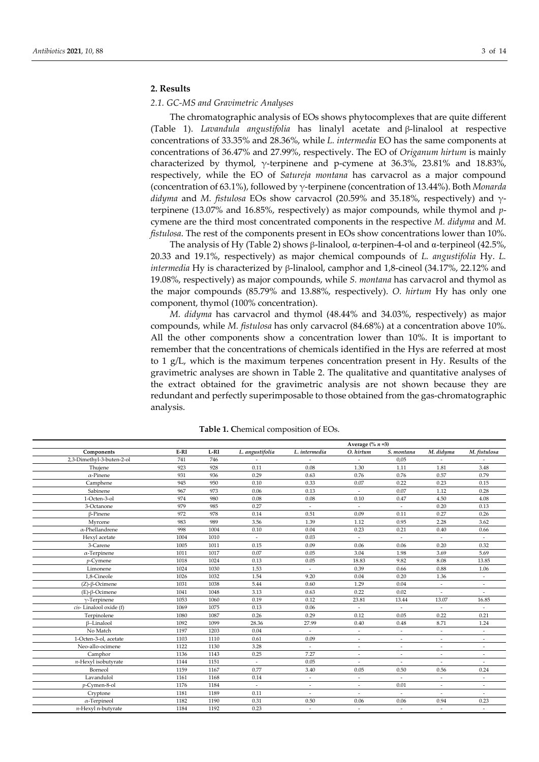## **2. Results**

#### *2.1. GC-MS and Gravimetric Analyses*

The chromatographic analysis of EOs shows phytocomplexes that are quite different (Table 1). *Lavandula angustifolia* has linalyl acetate and β-linalool at respective concentrations of 33.35% and 28.36%, while *L. intermedia* EO has the same components at concentrations of 36.47% and 27.99%, respectively. The EO of *Origanum hirtum* is mainly characterized by thymol, γ-terpinene and p-cymene at 36.3%, 23.81% and 18.83%, respectively, while the EO of *Satureja montana* has carvacrol as a major compound (concentration of 63.1%), followed by γ-terpinene (concentration of 13.44%). Both *Monarda didyma* and *M. fistulosa* EOs show carvacrol (20.59% and 35.18%, respectively) and γterpinene (13.07% and 16.85%, respectively) as major compounds, while thymol and *p*cymene are the third most concentrated components in the respective *M. didyma* and *M. fistulosa*. The rest of the components present in EOs show concentrations lower than 10%.

The analysis of Hy (Table 2) shows β-linalool, α-terpinen-4-ol and α-terpineol (42.5%, 20.33 and 19.1%, respectively) as major chemical compounds of *L. angustifolia* Hy. *L. intermedia* Hy is characterized by β-linalool, camphor and 1,8-cineol (34.17%, 22.12% and 19.08%, respectively) as major compounds, while *S. montana* has carvacrol and thymol as the major compounds (85.79% and 13.88%, respectively). *O. hirtum* Hy has only one component, thymol (100% concentration).

*M. didyma* has carvacrol and thymol (48.44% and 34.03%, respectively) as major compounds, while *M. fistulosa* has only carvacrol (84.68%) at a concentration above 10%. All the other components show a concentration lower than 10%. It is important to remember that the concentrations of chemicals identified in the Hys are referred at most to 1 g/L, which is the maximum terpenes concentration present in Hy. Results of the gravimetric analyses are shown in Table 2. The qualitative and quantitative analyses of the extract obtained for the gravimetric analysis are not shown because they are redundant and perfectly superimposable to those obtained from the gas-chromatographic analysis.

|                           |        |        |                          |                | Average $(\% n=3)$<br>O. hirtum<br>M. didyma<br>S. montana<br>0,05<br>1.30<br>1.81<br>1.11<br>0.76<br>0.76<br>0.57<br>0.07<br>0.22<br>0.23<br>0.07<br>1.12<br>$\overline{\phantom{a}}$<br>0.10<br>4.50<br>0.47<br>0.20<br>$\overline{\phantom{a}}$<br>$\sim$<br>0.09<br>0.27<br>0.11<br>1.12<br>0.95<br>2.28<br>0.23<br>0.21<br>0.40<br>$\overline{\phantom{a}}$<br>$\overline{\phantom{a}}$<br>$\overline{\phantom{a}}$<br>0.06<br>0.06<br>0.20<br>3.04<br>1.98<br>3.69<br>18.83<br>9.82<br>8.08<br>0.39<br>0.66<br>0.88<br>$\overline{a}$<br>0.04<br>0.20<br>1.36<br>1.29<br>0.04<br>$\overline{\phantom{a}}$<br>0.22<br>0.02<br>$\overline{\phantom{a}}$<br>23.81<br>13.44<br>13.07<br>$\overline{\phantom{a}}$<br>$\sim$<br>$\overline{\phantom{a}}$<br>0.12<br>0.22<br>0.05<br>0.40<br>8.71<br>0.48<br>٠<br>$\overline{\phantom{a}}$<br>$\overline{\phantom{a}}$<br>$\overline{\phantom{a}}$<br>$\overline{\phantom{a}}$<br>÷,<br>$\overline{\phantom{a}}$<br>$\overline{\phantom{a}}$<br>$\overline{\phantom{a}}$<br>$\overline{\phantom{a}}$<br>$\overline{\phantom{a}}$<br>$\sim$<br>$\overline{\phantom{a}}$<br>$\overline{\phantom{a}}$<br>$\overline{\phantom{a}}$<br>$\overline{a}$<br>$\overline{\phantom{a}}$<br>0.05<br>0.50<br>0.56<br>$\overline{\phantom{a}}$<br>$\overline{\phantom{a}}$<br>$\sim$<br>$\overline{\phantom{0}}$<br>0.01<br>$\overline{a}$<br>L<br>L. |                          |                          |                          |  |
|---------------------------|--------|--------|--------------------------|----------------|----------------------------------------------------------------------------------------------------------------------------------------------------------------------------------------------------------------------------------------------------------------------------------------------------------------------------------------------------------------------------------------------------------------------------------------------------------------------------------------------------------------------------------------------------------------------------------------------------------------------------------------------------------------------------------------------------------------------------------------------------------------------------------------------------------------------------------------------------------------------------------------------------------------------------------------------------------------------------------------------------------------------------------------------------------------------------------------------------------------------------------------------------------------------------------------------------------------------------------------------------------------------------------------------------------------------------------------------------------------------------------------|--------------------------|--------------------------|--------------------------|--|
| Components                | $E-RI$ | $L-RI$ | L. angustifolia          | L. intermedia  |                                                                                                                                                                                                                                                                                                                                                                                                                                                                                                                                                                                                                                                                                                                                                                                                                                                                                                                                                                                                                                                                                                                                                                                                                                                                                                                                                                                        |                          |                          | M. fistulosa             |  |
| 2,3-Dimethyl-3-buten-2-ol | 741    | 746    |                          |                |                                                                                                                                                                                                                                                                                                                                                                                                                                                                                                                                                                                                                                                                                                                                                                                                                                                                                                                                                                                                                                                                                                                                                                                                                                                                                                                                                                                        |                          |                          |                          |  |
| Thujene                   | 923    | 928    | 0.11                     | 0.08           |                                                                                                                                                                                                                                                                                                                                                                                                                                                                                                                                                                                                                                                                                                                                                                                                                                                                                                                                                                                                                                                                                                                                                                                                                                                                                                                                                                                        |                          |                          | 3.48                     |  |
| $\alpha$ -Pinene          | 931    | 936    | 0.29                     | 0.63           |                                                                                                                                                                                                                                                                                                                                                                                                                                                                                                                                                                                                                                                                                                                                                                                                                                                                                                                                                                                                                                                                                                                                                                                                                                                                                                                                                                                        |                          |                          | 0.79                     |  |
| Camphene                  | 945    | 950    | 0.10                     | 0.33           |                                                                                                                                                                                                                                                                                                                                                                                                                                                                                                                                                                                                                                                                                                                                                                                                                                                                                                                                                                                                                                                                                                                                                                                                                                                                                                                                                                                        |                          |                          | 0.15                     |  |
| Sabinene                  | 967    | 973    | 0.06                     | 0.13           |                                                                                                                                                                                                                                                                                                                                                                                                                                                                                                                                                                                                                                                                                                                                                                                                                                                                                                                                                                                                                                                                                                                                                                                                                                                                                                                                                                                        |                          |                          | 0.28                     |  |
| 1-Octen-3-ol              | 974    | 980    | 0.08                     | 0.08           |                                                                                                                                                                                                                                                                                                                                                                                                                                                                                                                                                                                                                                                                                                                                                                                                                                                                                                                                                                                                                                                                                                                                                                                                                                                                                                                                                                                        |                          |                          | 4.08                     |  |
| 3-Octanone                | 979    | 985    | 0.27                     | $\sim$         |                                                                                                                                                                                                                                                                                                                                                                                                                                                                                                                                                                                                                                                                                                                                                                                                                                                                                                                                                                                                                                                                                                                                                                                                                                                                                                                                                                                        |                          |                          | 0.13                     |  |
| $\beta$ -Pinene           | 972    | 978    | 0.14                     | 0.51           |                                                                                                                                                                                                                                                                                                                                                                                                                                                                                                                                                                                                                                                                                                                                                                                                                                                                                                                                                                                                                                                                                                                                                                                                                                                                                                                                                                                        |                          |                          | 0.26                     |  |
| Myrcene                   | 983    | 989    | 3.56                     | 1.39           |                                                                                                                                                                                                                                                                                                                                                                                                                                                                                                                                                                                                                                                                                                                                                                                                                                                                                                                                                                                                                                                                                                                                                                                                                                                                                                                                                                                        |                          |                          | 3.62                     |  |
| $\alpha$ -Phellandrene    | 998    | 1004   | 0.10                     | 0.04           |                                                                                                                                                                                                                                                                                                                                                                                                                                                                                                                                                                                                                                                                                                                                                                                                                                                                                                                                                                                                                                                                                                                                                                                                                                                                                                                                                                                        |                          |                          | 0.66                     |  |
| Hexyl acetate             | 1004   | 1010   | $\overline{\phantom{a}}$ | 0.03           |                                                                                                                                                                                                                                                                                                                                                                                                                                                                                                                                                                                                                                                                                                                                                                                                                                                                                                                                                                                                                                                                                                                                                                                                                                                                                                                                                                                        |                          |                          |                          |  |
| 3-Carene                  | 1005   | 1011   | 0.15                     | 0.09           |                                                                                                                                                                                                                                                                                                                                                                                                                                                                                                                                                                                                                                                                                                                                                                                                                                                                                                                                                                                                                                                                                                                                                                                                                                                                                                                                                                                        |                          |                          | 0.32                     |  |
| $\alpha$ -Terpinene       | 1011   | 1017   | 0.07                     | 0.05           |                                                                                                                                                                                                                                                                                                                                                                                                                                                                                                                                                                                                                                                                                                                                                                                                                                                                                                                                                                                                                                                                                                                                                                                                                                                                                                                                                                                        |                          |                          | 5.69                     |  |
| $p$ -Cymene               | 1018   | 1024   | 0.13                     | 0.05           |                                                                                                                                                                                                                                                                                                                                                                                                                                                                                                                                                                                                                                                                                                                                                                                                                                                                                                                                                                                                                                                                                                                                                                                                                                                                                                                                                                                        |                          |                          | 13.85                    |  |
| Limonene                  | 1024   | 1030   | 1.53                     |                |                                                                                                                                                                                                                                                                                                                                                                                                                                                                                                                                                                                                                                                                                                                                                                                                                                                                                                                                                                                                                                                                                                                                                                                                                                                                                                                                                                                        |                          |                          | 1.06                     |  |
| 1,8-Cineole               | 1026   | 1032   | 1.54                     | 9.20           |                                                                                                                                                                                                                                                                                                                                                                                                                                                                                                                                                                                                                                                                                                                                                                                                                                                                                                                                                                                                                                                                                                                                                                                                                                                                                                                                                                                        |                          |                          |                          |  |
| $(Z)$ - $\beta$ -Ocimene  | 1031   | 1038   | 5.44                     | 0.60           |                                                                                                                                                                                                                                                                                                                                                                                                                                                                                                                                                                                                                                                                                                                                                                                                                                                                                                                                                                                                                                                                                                                                                                                                                                                                                                                                                                                        |                          |                          |                          |  |
| $(E)$ - $\beta$ -Ocimene  | 1041   | 1048   | 3.13                     | 0.63           |                                                                                                                                                                                                                                                                                                                                                                                                                                                                                                                                                                                                                                                                                                                                                                                                                                                                                                                                                                                                                                                                                                                                                                                                                                                                                                                                                                                        |                          |                          |                          |  |
| $\gamma$ -Terpinene       | 1053   | 1060   | 0.19                     | 0.12           |                                                                                                                                                                                                                                                                                                                                                                                                                                                                                                                                                                                                                                                                                                                                                                                                                                                                                                                                                                                                                                                                                                                                                                                                                                                                                                                                                                                        |                          |                          | 16.85                    |  |
| cis-Linalool oxide (f)    | 1069   | 1075   | 0.13                     | 0.06           |                                                                                                                                                                                                                                                                                                                                                                                                                                                                                                                                                                                                                                                                                                                                                                                                                                                                                                                                                                                                                                                                                                                                                                                                                                                                                                                                                                                        |                          |                          | $\overline{\phantom{a}}$ |  |
| Terpinolene               | 1080   | 1087   | 0.26                     | 0.29           |                                                                                                                                                                                                                                                                                                                                                                                                                                                                                                                                                                                                                                                                                                                                                                                                                                                                                                                                                                                                                                                                                                                                                                                                                                                                                                                                                                                        |                          |                          | 0.21                     |  |
| <b>ß-Linalool</b>         | 1092   | 1099   | 28.36                    | 27.99          |                                                                                                                                                                                                                                                                                                                                                                                                                                                                                                                                                                                                                                                                                                                                                                                                                                                                                                                                                                                                                                                                                                                                                                                                                                                                                                                                                                                        |                          |                          | 1.24                     |  |
| No Match                  | 1197   | 1203   | 0.04                     |                |                                                                                                                                                                                                                                                                                                                                                                                                                                                                                                                                                                                                                                                                                                                                                                                                                                                                                                                                                                                                                                                                                                                                                                                                                                                                                                                                                                                        |                          |                          |                          |  |
| 1-Octen-3-ol, acetate     | 1103   | 1110   | 0.61                     | 0.09           |                                                                                                                                                                                                                                                                                                                                                                                                                                                                                                                                                                                                                                                                                                                                                                                                                                                                                                                                                                                                                                                                                                                                                                                                                                                                                                                                                                                        |                          |                          | ٠                        |  |
| Neo-allo-ocimene          | 1122   | 1130   | 3.28                     |                |                                                                                                                                                                                                                                                                                                                                                                                                                                                                                                                                                                                                                                                                                                                                                                                                                                                                                                                                                                                                                                                                                                                                                                                                                                                                                                                                                                                        |                          |                          | $\overline{\phantom{a}}$ |  |
| Camphor                   | 1136   | 1143   | 0.25                     | 7.27           |                                                                                                                                                                                                                                                                                                                                                                                                                                                                                                                                                                                                                                                                                                                                                                                                                                                                                                                                                                                                                                                                                                                                                                                                                                                                                                                                                                                        |                          |                          | $\overline{\phantom{a}}$ |  |
| $n$ -Hexyl isobutyrate    | 1144   | 1151   | $\sim$                   | 0.05           |                                                                                                                                                                                                                                                                                                                                                                                                                                                                                                                                                                                                                                                                                                                                                                                                                                                                                                                                                                                                                                                                                                                                                                                                                                                                                                                                                                                        |                          |                          | $\sim$                   |  |
| Borneol                   | 1159   | 1167   | 0.77                     | 3.40           |                                                                                                                                                                                                                                                                                                                                                                                                                                                                                                                                                                                                                                                                                                                                                                                                                                                                                                                                                                                                                                                                                                                                                                                                                                                                                                                                                                                        |                          |                          | 0.24                     |  |
| Lavandulol                | 1161   | 1168   | 0.14                     |                |                                                                                                                                                                                                                                                                                                                                                                                                                                                                                                                                                                                                                                                                                                                                                                                                                                                                                                                                                                                                                                                                                                                                                                                                                                                                                                                                                                                        |                          |                          | $\overline{\phantom{a}}$ |  |
| p-Cymen-8-ol              | 1176   | 1184   | L,                       |                |                                                                                                                                                                                                                                                                                                                                                                                                                                                                                                                                                                                                                                                                                                                                                                                                                                                                                                                                                                                                                                                                                                                                                                                                                                                                                                                                                                                        |                          |                          | $\overline{a}$           |  |
| Cryptone                  | 1181   | 1189   | 0.11                     | $\overline{a}$ |                                                                                                                                                                                                                                                                                                                                                                                                                                                                                                                                                                                                                                                                                                                                                                                                                                                                                                                                                                                                                                                                                                                                                                                                                                                                                                                                                                                        | $\overline{\phantom{a}}$ | $\overline{a}$           |                          |  |
| $\alpha$ -Terpineol       | 1182   | 1190   | 0.31                     | 0.50           | 0.06                                                                                                                                                                                                                                                                                                                                                                                                                                                                                                                                                                                                                                                                                                                                                                                                                                                                                                                                                                                                                                                                                                                                                                                                                                                                                                                                                                                   | 0.06                     | 0.94                     | 0.23                     |  |
| $n$ -Hexyl n-butyrate     | 1184   | 1192   | 0.23                     | ٠              | $\overline{\phantom{a}}$                                                                                                                                                                                                                                                                                                                                                                                                                                                                                                                                                                                                                                                                                                                                                                                                                                                                                                                                                                                                                                                                                                                                                                                                                                                                                                                                                               | $\overline{\phantom{a}}$ | $\overline{\phantom{a}}$ | $\sim$                   |  |
|                           |        |        |                          |                |                                                                                                                                                                                                                                                                                                                                                                                                                                                                                                                                                                                                                                                                                                                                                                                                                                                                                                                                                                                                                                                                                                                                                                                                                                                                                                                                                                                        |                          |                          |                          |  |

**Table 1. C**hemical composition of EOs.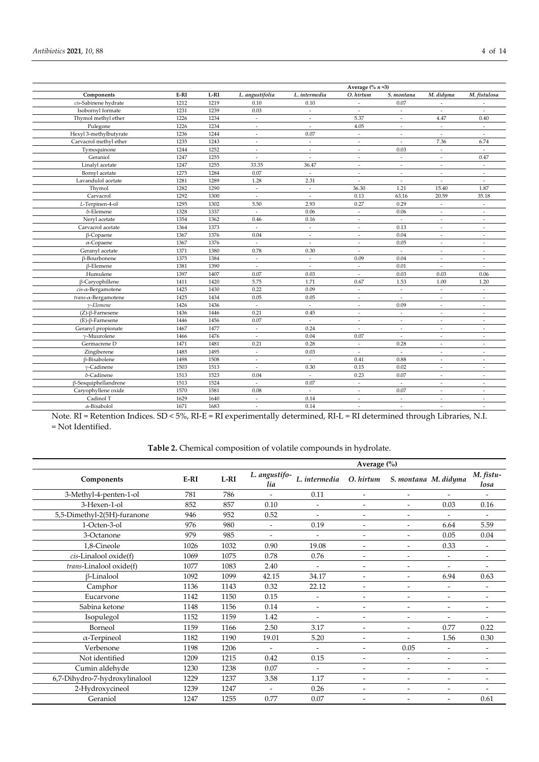| Components<br>cis-Sabinene hydrate<br>Isobornyl formate<br>Thymol methyl ether<br>Pulegone<br>Tymoquinone<br>Geraniol<br>Linalyl acetate<br>Bornyl acetate<br>Lavandulol acetate<br>Thymol<br>Carvacrol<br>L-Terpinen-4-ol<br>δ-Elemene<br>Neryl acetate<br>Carvacrol acetate<br>β-Copaene<br>$\alpha$ -Copaene<br>Geranyl acetate<br><b>B-Bourbonene</b><br>$\beta$ -Elemene<br>Humulene<br>β-Caryophillene<br>$cis$ - $\alpha$ -Bergamotene<br>$trans-\alpha$ -Bergamotene<br>y-Elemene |      |        |                          |                          | Average $(\% n = 3)$     |                          |                          |                          |  |
|-------------------------------------------------------------------------------------------------------------------------------------------------------------------------------------------------------------------------------------------------------------------------------------------------------------------------------------------------------------------------------------------------------------------------------------------------------------------------------------------|------|--------|--------------------------|--------------------------|--------------------------|--------------------------|--------------------------|--------------------------|--|
|                                                                                                                                                                                                                                                                                                                                                                                                                                                                                           | E-RI | $L-RI$ | L. angustifolia          | L. intermedia            | O. hirtum                | S. montana               | M. didyma                | M. fistulosa             |  |
|                                                                                                                                                                                                                                                                                                                                                                                                                                                                                           | 1212 | 1219   | 0.10                     | 0.10                     | $\overline{\phantom{a}}$ | 0.07                     | ٠                        | $\overline{\phantom{a}}$ |  |
|                                                                                                                                                                                                                                                                                                                                                                                                                                                                                           | 1231 | 1239   | 0.03                     | ÷,                       |                          |                          | ٠                        |                          |  |
|                                                                                                                                                                                                                                                                                                                                                                                                                                                                                           | 1226 | 1234   | $\overline{\phantom{a}}$ | $\overline{\phantom{a}}$ | 5.37                     | $\overline{\phantom{a}}$ | 4.47                     | 0.40                     |  |
|                                                                                                                                                                                                                                                                                                                                                                                                                                                                                           | 1226 | 1234   | $\sim$                   | $\overline{a}$           | 4.05                     | $\overline{\phantom{a}}$ | $\overline{\phantom{a}}$ | ٠                        |  |
| Hexyl 3-methylbutyrate                                                                                                                                                                                                                                                                                                                                                                                                                                                                    | 1236 | 1244   | $\sim$                   | 0.07                     | $\overline{\phantom{a}}$ | $\overline{\phantom{a}}$ | ٠                        | ٠                        |  |
| Carvacrol methyl ether                                                                                                                                                                                                                                                                                                                                                                                                                                                                    | 1235 | 1243   | $\overline{\phantom{a}}$ | ٠                        | $\overline{\phantom{a}}$ | $\overline{\phantom{a}}$ | 7.36                     | 6.74                     |  |
|                                                                                                                                                                                                                                                                                                                                                                                                                                                                                           | 1244 | 1252   | $\overline{\phantom{a}}$ | ٠                        | ٠                        | 0.03                     | ÷,                       | ٠                        |  |
|                                                                                                                                                                                                                                                                                                                                                                                                                                                                                           | 1247 | 1255   | $\overline{\phantom{0}}$ | $\overline{a}$           | $\overline{\phantom{a}}$ | $\overline{\phantom{a}}$ | $\overline{\phantom{a}}$ | 0.47                     |  |
|                                                                                                                                                                                                                                                                                                                                                                                                                                                                                           | 1247 | 1255   | 33.35                    | 36.47                    | $\overline{\phantom{a}}$ | $\overline{a}$           | ÷,                       | ٠                        |  |
|                                                                                                                                                                                                                                                                                                                                                                                                                                                                                           | 1275 | 1284   | 0.07                     | L,                       | $\tilde{\phantom{a}}$    | $\overline{\phantom{a}}$ | ÷,                       | $\overline{a}$           |  |
|                                                                                                                                                                                                                                                                                                                                                                                                                                                                                           | 1281 | 1289   | 1.28                     | 2.31                     | ٠                        | $\overline{\phantom{a}}$ | $\overline{\phantom{a}}$ | ٠                        |  |
|                                                                                                                                                                                                                                                                                                                                                                                                                                                                                           | 1282 | 1290   | $\overline{\phantom{a}}$ | $\overline{\phantom{a}}$ | 36.30                    | 1.21                     | 15.40                    | 1.87                     |  |
|                                                                                                                                                                                                                                                                                                                                                                                                                                                                                           | 1292 | 1300   | $\overline{\phantom{a}}$ | $\overline{\phantom{a}}$ | 0.13                     | 63.16                    | 20.59                    | 35.18                    |  |
|                                                                                                                                                                                                                                                                                                                                                                                                                                                                                           | 1295 | 1302   | 5.50                     | 2.93                     | 0.27                     | 0.29                     | $\overline{\phantom{a}}$ | $\overline{\phantom{a}}$ |  |
|                                                                                                                                                                                                                                                                                                                                                                                                                                                                                           | 1328 | 1337   | $\sim$                   | 0.06                     | $\overline{\phantom{a}}$ | 0.06                     | $\overline{\phantom{a}}$ | $\overline{a}$           |  |
|                                                                                                                                                                                                                                                                                                                                                                                                                                                                                           | 1354 | 1362   | 0.46                     | 0.16                     | $\overline{\phantom{a}}$ | $\overline{\phantom{a}}$ | ٠                        |                          |  |
|                                                                                                                                                                                                                                                                                                                                                                                                                                                                                           | 1364 | 1373   | $\overline{a}$           | $\overline{\phantom{a}}$ | $\overline{a}$           | 0.13                     | ٠                        | $\overline{a}$           |  |
|                                                                                                                                                                                                                                                                                                                                                                                                                                                                                           | 1367 | 1376   | 0.04                     | ٠                        | $\tilde{\phantom{a}}$    | 0.04                     | ٠                        | $\overline{a}$           |  |
|                                                                                                                                                                                                                                                                                                                                                                                                                                                                                           | 1367 | 1376   | $\sim$                   | ٠                        | $\tilde{\phantom{a}}$    | 0.05                     | ٠                        | $\overline{a}$           |  |
|                                                                                                                                                                                                                                                                                                                                                                                                                                                                                           | 1371 | 1380   | 0.78                     | 0.30                     | $\overline{\phantom{a}}$ | $\overline{\phantom{a}}$ | $\overline{\phantom{a}}$ | $\overline{\phantom{a}}$ |  |
|                                                                                                                                                                                                                                                                                                                                                                                                                                                                                           | 1375 | 1384   | $\sim$                   | $\overline{\phantom{a}}$ | 0.09                     | 0.04                     | ÷                        | $\overline{a}$           |  |
|                                                                                                                                                                                                                                                                                                                                                                                                                                                                                           | 1381 | 1390   | $\overline{\phantom{a}}$ | $\overline{\phantom{a}}$ | $\overline{\phantom{a}}$ | 0.01                     | ÷,                       |                          |  |
|                                                                                                                                                                                                                                                                                                                                                                                                                                                                                           | 1397 | 1407   | 0.07                     | 0.03                     |                          | 0.03                     | 0.03                     | 0.06                     |  |
|                                                                                                                                                                                                                                                                                                                                                                                                                                                                                           | 1411 | 1420   | 5.75                     | 1.71                     | 0.67                     | 1.53                     | 1.00                     | 1.20                     |  |
|                                                                                                                                                                                                                                                                                                                                                                                                                                                                                           | 1425 | 1430   | 0.22                     | 0.09                     | $\overline{\phantom{a}}$ | $\overline{\phantom{a}}$ | $\overline{\phantom{a}}$ | $\overline{\phantom{a}}$ |  |
|                                                                                                                                                                                                                                                                                                                                                                                                                                                                                           | 1425 | 1434   | 0.05                     | 0.05                     | $\tilde{\phantom{a}}$    | $\overline{\phantom{a}}$ | $\overline{\phantom{a}}$ | ٠                        |  |
|                                                                                                                                                                                                                                                                                                                                                                                                                                                                                           | 1426 | 1436   | $\overline{\phantom{a}}$ | $\overline{\phantom{a}}$ | $\overline{\phantom{a}}$ | 0.09                     | $\overline{\phantom{a}}$ | $\overline{\phantom{a}}$ |  |
| $(Z)$ - $\beta$ -Farnesene                                                                                                                                                                                                                                                                                                                                                                                                                                                                | 1436 | 1446   | 0.21                     | 0.45                     | $\overline{\phantom{a}}$ | $\overline{\phantom{a}}$ | ٠                        | $\overline{\phantom{a}}$ |  |

| Caryophyllene oxide                                                                                                                             | 1570 | 1581 | 0.08 | $\overline{\phantom{a}}$ | 0.07 |  |
|-------------------------------------------------------------------------------------------------------------------------------------------------|------|------|------|--------------------------|------|--|
| Cadinol T                                                                                                                                       | 1629 | 1640 |      | 0.14                     |      |  |
| $\alpha$ -Bisabolol                                                                                                                             | 1671 | 1683 |      | 0.14                     |      |  |
| Note. RI = Retention Indices. SD < 5%, RI-E = RI experimentally determined, RI-L = RI determined through Libraries, N.I.<br>$=$ Not Identified. |      |      |      |                          |      |  |

Geranyl propionate 1467 1477 - 0.24 - - - -

8-Cadinene 1513 1523 0.04 - 0.23 0.07<br>β-Sesquiphellandrene 1513 1524 - 0.07<br>Caryophyllene oxide 1570 1581 0.08 - 0.07

(E)-β-Farnesene 1446 1456 0.07 - - - - -

γ-Muurolene 1466 1476 - 0.04 0.07 - - - Germacrene D 1471 1481 0.21 0.28 - 0.28 - 0.28 - 1471 1481 0.21 0.28 - 1471 1481 0.21 0.28 - 1471 0.28 - 1471 1481 0.28 - 1471 1481 0.28 - 1471 0.28 1471 1481 0.28 1471 1481 0.28 1471 1481 0.28 1471 1481 0.28 1471 1481 148 Zingiberene 1485 1495 - 0.03 - - - β-Bisabolene 1498 1508 - - 0.41 0.88 - - - γ-Cadinene 1503 1513 - 0.30 0.15 0.02 - - δ-Cadinene 1513 1523 0.04 - 0.23 0.07 - - -

**Table 2.** Chemical composition of volatile compounds in hydrolate.

|                               |        |        |                      | Average $(\% )$          |                          |                          |                          |                              |  |  |  |
|-------------------------------|--------|--------|----------------------|--------------------------|--------------------------|--------------------------|--------------------------|------------------------------|--|--|--|
| Components                    | $E-RI$ | $L-RI$ | L. angustifo-<br>lia | L. intermedia            | O. hirtum                | S. montana M. didyma     |                          | M. fistu-<br>losa            |  |  |  |
| 3-Methyl-4-penten-1-ol        | 781    | 786    |                      | 0.11                     | $\overline{\phantom{a}}$ | $\overline{\phantom{a}}$ | $\overline{\phantom{a}}$ | $\overline{\phantom{0}}$     |  |  |  |
| 3-Hexen-1-ol                  | 852    | 857    | 0.10                 | $\overline{\phantom{a}}$ | ٠                        | $\overline{a}$           | 0.03                     | 0.16                         |  |  |  |
| 5,5-Dimethyl-2(5H)-furanone   | 946    | 952    | 0.52                 | ÷.                       | $\overline{\phantom{a}}$ | $\overline{\phantom{a}}$ |                          |                              |  |  |  |
| 1-Octen-3-ol                  | 976    | 980    | L.                   | 0.19                     | $\overline{a}$           | $\overline{a}$           | 6.64                     | 5.59                         |  |  |  |
| 3-Octanone                    | 979    | 985    | $\overline{a}$       | $\overline{a}$           | $\overline{a}$           | $\overline{a}$           | 0.05                     | 0.04                         |  |  |  |
| 1,8-Cineole                   | 1026   | 1032   | 0.90                 | 19.08                    |                          |                          | 0.33                     |                              |  |  |  |
| cis-Linalool oxide(f)         | 1069   | 1075   | 0.78                 | 0.76                     |                          |                          | $\overline{\phantom{a}}$ | ۰                            |  |  |  |
| trans-Linalool oxide(f)       | 1077   | 1083   | 2.40                 | ÷                        | ٠                        | $\overline{a}$           | $\overline{a}$           |                              |  |  |  |
| β-Linalool                    | 1092   | 1099   | 42.15                | 34.17                    |                          |                          | 6.94                     | 0.63                         |  |  |  |
| Camphor                       | 1136   | 1143   | 0.32                 | 22.12                    | $\overline{\phantom{m}}$ | $\overline{\phantom{m}}$ | $\overline{\phantom{a}}$ | $\qquad \qquad \blacksquare$ |  |  |  |
| Eucarvone                     | 1142   | 1150   | 0.15                 | $\overline{\phantom{a}}$ | ۰                        | ٠                        | ٠                        | $\overline{\phantom{0}}$     |  |  |  |
| Sabina ketone                 | 1148   | 1156   | 0.14                 | $\overline{\phantom{a}}$ | $\overline{\phantom{a}}$ | ٠                        | $\overline{\phantom{0}}$ | $\overline{\phantom{0}}$     |  |  |  |
| Isopulegol                    | 1152   | 1159   | 1.42                 | $\overline{\phantom{a}}$ | $\overline{\phantom{a}}$ | ٠                        | $\overline{\phantom{a}}$ | $\overline{\phantom{0}}$     |  |  |  |
| Borneol                       | 1159   | 1166   | 2.50                 | 3.17                     | $\overline{\phantom{a}}$ | $\overline{\phantom{a}}$ | 0.77                     | 0.22                         |  |  |  |
| $\alpha$ -Terpineol           | 1182   | 1190   | 19.01                | 5.20                     | $\overline{\phantom{a}}$ | ÷.                       | 1.56                     | 0.30                         |  |  |  |
| Verbenone                     | 1198   | 1206   | ÷,                   | ÷                        | $\overline{\phantom{a}}$ | 0.05                     | ä,                       | $\overline{\phantom{0}}$     |  |  |  |
| Not identified                | 1209   | 1215   | 0.42                 | 0.15                     | $\overline{\phantom{a}}$ | $\overline{\phantom{a}}$ | ٠                        | ٠                            |  |  |  |
| Cumin aldehyde                | 1230   | 1238   | 0.07                 | $\overline{a}$           | $\overline{a}$           | $\overline{a}$           | $\overline{a}$           | $\overline{a}$               |  |  |  |
| 6,7-Dihydro-7-hydroxylinalool | 1229   | 1237   | 3.58                 | 1.17                     | ٠                        | ٠                        | ٠                        | $\overline{\phantom{0}}$     |  |  |  |
| 2-Hydroxycineol               | 1239   | 1247   |                      | 0.26                     |                          |                          | ٠                        |                              |  |  |  |
| Geraniol                      | 1247   | 1255   | 0.77                 | 0.07                     |                          |                          |                          | 0.61                         |  |  |  |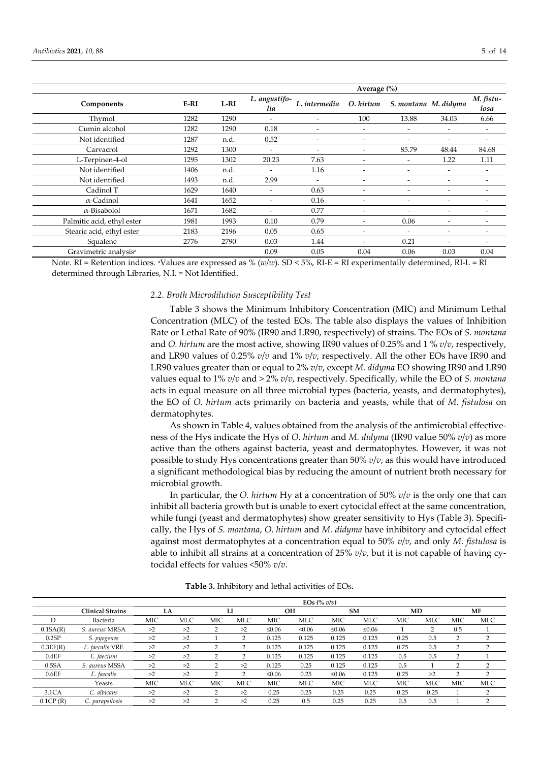|                                   |      |      |                      |                          | Average $(\% )$          |                          |                          |                          |
|-----------------------------------|------|------|----------------------|--------------------------|--------------------------|--------------------------|--------------------------|--------------------------|
| Components                        | E-RI | L-RI | L. angustifo-<br>lia | L. intermedia            | O. hirtum                | S. montana M. didyma     |                          | M. fistu-<br>losa        |
| Thymol                            | 1282 | 1290 |                      | $\overline{\phantom{a}}$ | 100                      | 13.88                    | 34.03                    | 6.66                     |
| Cumin alcohol                     | 1282 | 1290 | 0.18                 |                          | $\overline{\phantom{a}}$ | ۰                        | $\overline{\phantom{a}}$ | $\overline{\phantom{a}}$ |
| Not identified                    | 1287 | n.d. | 0.52                 |                          | $\overline{\phantom{0}}$ |                          |                          |                          |
| Carvacrol                         | 1292 | 1300 | $\overline{a}$       | $\overline{\phantom{0}}$ | ٠                        | 85.79                    | 48.44                    | 84.68                    |
| L-Terpinen-4-ol                   | 1295 | 1302 | 20.23                | 7.63                     | $\overline{\phantom{a}}$ | $\overline{\phantom{m}}$ | 1.22                     | 1.11                     |
| Not identified                    | 1406 | n.d. |                      | 1.16                     | $\overline{\phantom{a}}$ | ٠                        | ۰                        |                          |
| Not identified                    | 1493 | n.d. | 2.99                 | $\overline{\phantom{a}}$ | $\overline{\phantom{a}}$ | $\overline{\phantom{a}}$ |                          |                          |
| Cadinol T                         | 1629 | 1640 |                      | 0.63                     | $\overline{\phantom{a}}$ | ٠                        | $\overline{\phantom{m}}$ | -                        |
| $\alpha$ -Cadinol                 | 1641 | 1652 |                      | 0.16                     | ٠                        |                          |                          |                          |
| $\alpha$ -Bisabolol               | 1671 | 1682 |                      | 0.77                     | $\overline{\phantom{a}}$ | ۰                        | $\overline{\phantom{m}}$ | ۰                        |
| Palmitic acid, ethyl ester        | 1981 | 1993 | 0.10                 | 0.79                     | $\overline{\phantom{a}}$ | 0.06                     | -                        |                          |
| Stearic acid, ethyl ester         | 2183 | 2196 | 0.05                 | 0.65                     | $\overline{\phantom{a}}$ | ٠                        | $\overline{\phantom{m}}$ |                          |
| Squalene                          | 2776 | 2790 | 0.03                 | 1.44                     | $\overline{\phantom{a}}$ | 0.21                     | $\overline{\phantom{0}}$ |                          |
| Gravimetric analysis <sup>a</sup> |      |      | 0.09                 | 0.05                     | 0.04                     | 0.06                     | 0.03                     | 0.04                     |

Note. RI = Retention indices. <sup>a</sup>Values are expressed as % (*w*/*w*). SD < 5%, RI-E = RI experimentally determined, RI-L = RI determined through Libraries, N.I. = Not Identified.

## *2.2. Broth Microdilution Susceptibility Test*

Table 3 shows the Minimum Inhibitory Concentration (MIC) and Minimum Lethal Concentration (MLC) of the tested EOs. The table also displays the values of Inhibition Rate or Lethal Rate of 90% (IR90 and LR90, respectively) of strains. The EOs of *S. montana* and *O. hirtum* are the most active, showing IR90 values of 0.25% and 1 % *v*/*v*, respectively, and LR90 values of 0.25% *v*/*v* and 1% *v*/*v*, respectively. All the other EOs have IR90 and LR90 values greater than or equal to 2% *v*/*v*, except *M. didyma* EO showing IR90 and LR90 values equal to 1% *v*/*v* and > 2% *v*/*v*, respectively. Specifically, while the EO of *S. montana* acts in equal measure on all three microbial types (bacteria, yeasts, and dermatophytes), the EO of *O. hirtum* acts primarily on bacteria and yeasts, while that of *M. fistulosa* on dermatophytes.

As shown in Table 4, values obtained from the analysis of the antimicrobial effectiveness of the Hys indicate the Hys of *O. hirtum* and *M. didyma* (IR90 value 50% *v*/*v*) as more active than the others against bacteria, yeast and dermatophytes. However, it was not possible to study Hys concentrations greater than 50% *v*/*v*, as this would have introduced a significant methodological bias by reducing the amount of nutrient broth necessary for microbial growth.

In particular, the *O. hirtum* Hy at a concentration of 50% *v*/*v* is the only one that can inhibit all bacteria growth but is unable to exert cytocidal effect at the same concentration, while fungi (yeast and dermatophytes) show greater sensitivity to Hys (Table 3). Specifically, the Hys of *S. montana*, *O. hirtum* and *M. didyma* have inhibitory and cytocidal effect against most dermatophytes at a concentration equal to 50% *v*/*v*, and only *M. fistulosa* is able to inhibit all strains at a concentration of 25% *v*/*v,* but it is not capable of having cytocidal effects for values <50% *v*/*v*.

|          |                         |     | EOs $\left(\frac{\%}{\varepsilon v}\right)v$ |     |                |             |            |             |             |      |            |                |                |
|----------|-------------------------|-----|----------------------------------------------|-----|----------------|-------------|------------|-------------|-------------|------|------------|----------------|----------------|
|          | <b>Clinical Strains</b> |     | LA                                           |     | LI             |             | <b>OH</b>  |             | <b>SM</b>   | MD   |            | MF             |                |
| D        | Bacteria                | MIC | <b>MLC</b>                                   | MIC | <b>MLC</b>     | MIC         | <b>MLC</b> | MIC         | <b>MLC</b>  | MIC  | <b>MLC</b> | MIC            | <b>MLC</b>     |
| 0.1SA(R) | S. aureus MRSA          | >2  | >2                                           |     | >2             | $\leq 0.06$ | < 0.06     | $\leq 0.06$ | $\leq 0.06$ |      |            | 0.5            | л.             |
| 0.2SP    | S. pyogenes             | >2  | >2                                           |     |                | 0.125       | 0.125      | 0.125       | 0.125       | 0.25 | 0.5        | $\overline{2}$ |                |
| 0.3EF(R) | E. faecalis VRE         | >2  | >2                                           |     | $\overline{2}$ | 0.125       | 0.125      | 0.125       | 0.125       | 0.25 | 0.5        | $\overline{2}$ | 2              |
| 0.4EF    | E. faecium              | >2  | >2                                           | ◠   | ◠              | 0.125       | 0.125      | 0.125       | 0.125       | 0.5  | 0.5        | $\overline{2}$ |                |
| 0.5SA    | S. aureus MSSA          | >2  | >2                                           |     | >2             | 0.125       | 0.25       | 0.125       | 0.125       | 0.5  |            | 2              | $\overline{2}$ |
| 0.6EF    | E. faecalis             | >2  | >2                                           | ◠   | ∍              | $\leq 0.06$ | 0.25       | $\leq 0.06$ | 0.125       | 0.25 | >2         | $\overline{2}$ | 2              |
|          | Yeasts                  | MIC | <b>MLC</b>                                   | MIC | <b>MLC</b>     | MIC         | MLC        | MIC         | <b>MLC</b>  | MIC  | <b>MLC</b> | MIC            | <b>MLC</b>     |
| 3.1CA    | C. albicans             | >2  | >2                                           |     | >2             | 0.25        | 0.25       | 0.25        | 0.25        | 0.25 | 0.25       |                | 2              |
| 0.1CP(R) | C. parapsilosis         | >2  | >2                                           | ∍   | >2             | 0.25        | 0.5        | 0.25        | 0.25        | 0.5  | 0.5        |                | $\mathcal{D}$  |

**Table 3.** Inhibitory and lethal activities of EOs**.**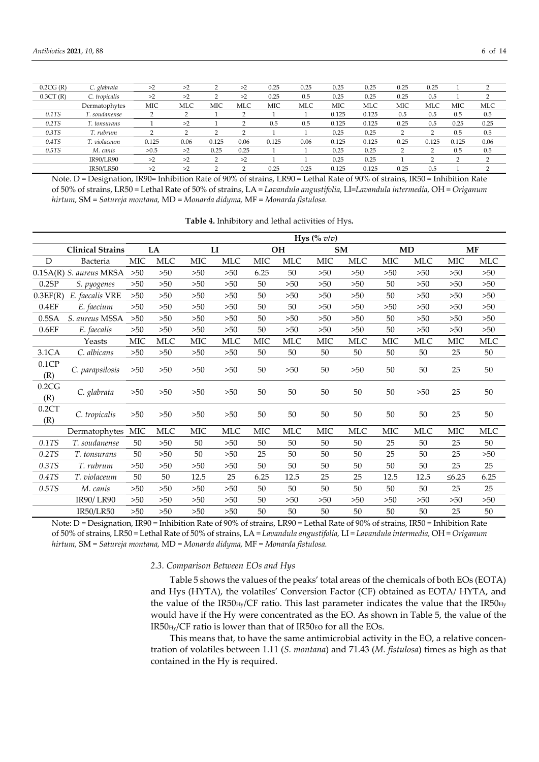| 0.2CG(R)          | C. glabrata      | >2    | >2   |       | >2         | 0.25       | 0.25       | 0.25  | 0.25  | 0.25 | 0.25       |       |      |
|-------------------|------------------|-------|------|-------|------------|------------|------------|-------|-------|------|------------|-------|------|
| 0.3CT(R)          | C. tropicalis    | >2    | >2   |       | >2         | 0.25       | 0.5        | 0.25  | 0.25  | 0.25 | 0.5        |       |      |
|                   | Dermatophytes    | MIC   | MLC  | MIC   | <b>MLC</b> | <b>MIC</b> | <b>MLC</b> | MIC   | MLC   | MIC  | <b>MLC</b> | MIC   | MLC  |
| 0.1T <sub>S</sub> | T. soudanense    |       |      |       |            |            |            | 0.125 | 0.125 | 0.5  | 0.5        | 0.5   | 0.5  |
| 0.2TS             | T. tonsurans     |       | >2   |       |            | 0.5        | 0.5        | 0.125 | 0.125 | 0.25 | 0.5        | 0.25  | 0.25 |
| 0.3T <sub>S</sub> | T. rubrum        |       |      |       |            |            |            | 0.25  | 0.25  |      |            | 0.5   | 0.5  |
| 0.4T <sub>S</sub> | T. violaceum     | 0.125 | 0.06 | 0.125 | 0.06       | 0.125      | 0.06       | 0.125 | 0.125 | 0.25 | 0.125      | 0.125 | 0.06 |
| 0.5T <sub>S</sub> | M. canis         | >0.5  | >2   | 0.25  | 0.25       |            |            | 0.25  | 0.25  |      | $\sim$     | 0.5   | 0.5  |
|                   | <b>IR90/LR90</b> | >2    | >2   |       | >2         |            |            | 0.25  | 0.25  |      |            | n     |      |
|                   | <b>IR50/LR50</b> | >2    | >2   |       |            | 0.25       | 0.25       | 0.125 | 0.125 | 0.25 | 0.5        |       |      |

Note. D = Designation, IR90= Inhibition Rate of 90% of strains, LR90 = Lethal Rate of 90% of strains, IR50 = Inhibition Rate of 50% of strains, LR50 = Lethal Rate of 50% of strains, LA = *Lavandula angustifolia,* LI=*Lavandula intermedia,* OH = *Origanum hirtum,* SM = *Satureja montana,* MD = *Monarda didyma,* MF = *Monarda fistulosa.*

|                          |                         |       | Hys $(\% v/v)$ |       |              |            |            |     |            |      |            |         |            |
|--------------------------|-------------------------|-------|----------------|-------|--------------|------------|------------|-----|------------|------|------------|---------|------------|
|                          | <b>Clinical Strains</b> |       | LA             |       | $\mathbf{L}$ |            | <b>OH</b>  |     | <b>SM</b>  |      | <b>MD</b>  |         | <b>MF</b>  |
| D                        | Bacteria                | MIC   | MLC            | MIC   | <b>MLC</b>   | <b>MIC</b> | <b>MLC</b> | MIC | <b>MLC</b> | MIC  | <b>MLC</b> | MIC     | <b>MLC</b> |
|                          | 0.1SA(R) S. aureus MRSA | >50   | $>50$          | >50   | >50          | 6.25       | 50         | >50 | >50        | >50  | $>50$      | >50     | >50        |
| 0.2SP                    | S. pyogenes             | >50   | $>50$          | >50   | >50          | 50         | >50        | >50 | >50        | 50   | >50        | >50     | >50        |
| 0.3EF(R)                 | E. faecalis VRE         | >50   | >50            | >50   | >50          | 50         | >50        | >50 | >50        | 50   | >50        | >50     | >50        |
| 0.4EF                    | E. faecium              | $>50$ | $>50$          | >50   | >50          | 50         | 50         | >50 | >50        | >50  | >50        | $>50$   | $>50$      |
| 0.5SA                    | S. aureus MSSA          | >50   | >50            | >50   | >50          | 50         | >50        | >50 | >50        | 50   | >50        | >50     | >50        |
| 0.6EF                    | E. faecalis             | >50   | >50            | >50   | >50          | 50         | >50        | >50 | >50        | 50   | >50        | >50     | >50        |
|                          | Yeasts                  | МIС   | MLC            | MIC   | MLC          | MIC        | MLC        | MIC | MLC        | MIC  | <b>MLC</b> | MIC     | MLC        |
| 3.1CA                    | C. albicans             | $>50$ | $>50$          | $>50$ | >50          | 50         | 50         | 50  | 50         | 50   | 50         | 25      | 50         |
| 0.1CP<br>(R)             | C. parapsilosis         | $>50$ | $>50$          | $>50$ | >50          | 50         | $>50$      | 50  | $>50$      | 50   | 50         | 25      | 50         |
| 0.2 <sub>CG</sub><br>(R) | C. glabrata             | $>50$ | $>50$          | $>50$ | $>50$        | 50         | 50         | 50  | 50         | 50   | $>50$      | 25      | 50         |
| 0.2CT<br>(R)             | C. tropicalis           | $>50$ | $>50$          | $>50$ | $>50$        | 50         | 50         | 50  | 50         | 50   | 50         | 25      | 50         |
|                          | Dermatophytes           | MIC   | MLC            | MIC   | MLC          | MIC        | <b>MLC</b> | MIC | MLC        | MIC  | <b>MLC</b> | MIC     | <b>MLC</b> |
| 0.1TS                    | T. soudanense           | 50    | $>50$          | 50    | >50          | 50         | 50         | 50  | 50         | 25   | 50         | 25      | 50         |
| 0.2TS                    | T. tonsurans            | 50    | $>50$          | 50    | $>50$        | 25         | 50         | 50  | 50         | 25   | 50         | 25      | >50        |
| 0.3TS                    | T. rubrum               | >50   | $>50$          | >50   | >50          | 50         | 50         | 50  | 50         | 50   | 50         | 25      | 25         |
| 0.4T <sub>S</sub>        | T. violaceum            | 50    | 50             | 12.5  | 25           | 6.25       | 12.5       | 25  | 25         | 12.5 | 12.5       | $≤6.25$ | 6.25       |
| 0.5T <sub>S</sub>        | M. canis                | >50   | >50            | >50   | >50          | 50         | 50         | 50  | 50         | 50   | 50         | 25      | 25         |
|                          | IR90/LR90               | >50   | >50            | >50   | >50          | 50         | >50        | >50 | >50        | >50  | >50        | >50     | >50        |
|                          | <b>IR50/LR50</b>        | >50   | $>50$          | >50   | >50          | 50         | 50         | 50  | 50         | 50   | 50         | 25      | 50         |

**Table 4.** Inhibitory and lethal activities of Hys**.**

Note: D = Designation, IR90 = Inhibition Rate of 90% of strains, LR90 = Lethal Rate of 90% of strains, IR50 = Inhibition Rate of 50% of strains, LR50 = Lethal Rate of 50% of strains, LA = *Lavandula angustifolia,* LI = *Lavandula intermedia,* OH = *Origanum hirtum,* SM = *Satureja montana,* MD = *Monarda didyma,* MF = *Monarda fistulosa.*

#### *2.3. Comparison Between EOs and Hys*

Table 5 shows the values of the peaks' total areas of the chemicals of both EOs (EOTA) and Hys (HYTA), the volatiles' Conversion Factor (CF) obtained as EOTA/ HYTA, and the value of the IR50 $_{\rm Hy}/\rm CF$  ratio. This last parameter indicates the value that the IR50 $_{\rm Hy}$ would have if the Hy were concentrated as the EO. As shown in Table 5, the value of the  $IR50<sub>Hy</sub>/CF$  ratio is lower than that of  $IR50<sub>EO</sub>$  for all the EOs.

This means that, to have the same antimicrobial activity in the EO, a relative concentration of volatiles between 1.11 (*S. montana*) and 71.43 (*M. fistulosa*) times as high as that contained in the Hy is required.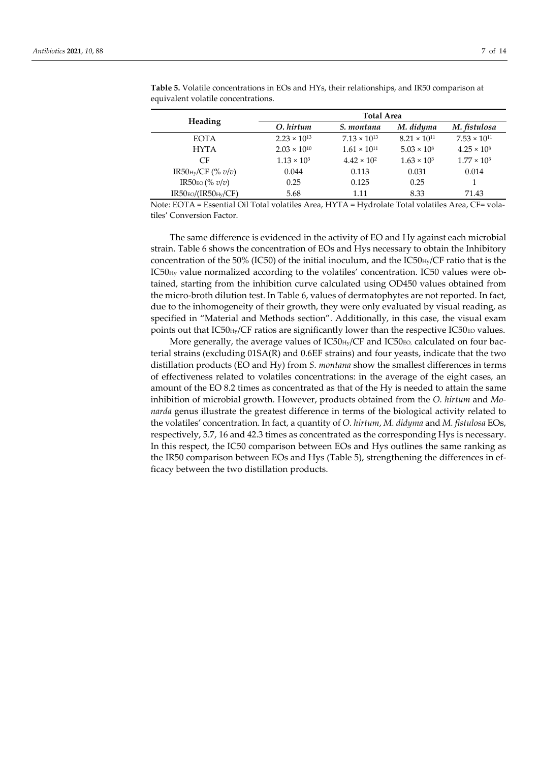|                                   | <b>Total Area</b>     |                       |                       |                       |  |  |  |  |  |  |
|-----------------------------------|-----------------------|-----------------------|-----------------------|-----------------------|--|--|--|--|--|--|
| <b>Heading</b>                    | O. hirtum             | S. montana            | M. didyma             | M. fistulosa          |  |  |  |  |  |  |
| <b>EOTA</b>                       | $2.23 \times 10^{13}$ | $7.13 \times 10^{13}$ | $8.21 \times 10^{11}$ | $7.53 \times 10^{11}$ |  |  |  |  |  |  |
| <b>HYTA</b>                       | $2.03 \times 10^{10}$ | $1.61 \times 10^{11}$ | $5.03 \times 10^8$    | $4.25 \times 10^8$    |  |  |  |  |  |  |
| <b>CF</b>                         | $1.13 \times 10^{3}$  | $4.42 \times 10^{2}$  | $1.63 \times 10^{3}$  | $1.77 \times 10^{3}$  |  |  |  |  |  |  |
| IR50 <sub>Hy</sub> /CF $(\% v/v)$ | 0.044                 | 0.113                 | 0.031                 | 0.014                 |  |  |  |  |  |  |
| IR50 <sub>EO</sub> (% $v/v$ )     | 0.25                  | 0.125                 | 0.25                  |                       |  |  |  |  |  |  |
| IR50 $_{EO}$ /(IR50 $_{HV}$ /CF)  | 5.68                  | 1.11                  | 8.33                  | 71.43                 |  |  |  |  |  |  |

**Table 5.** Volatile concentrations in EOs and HYs, their relationships, and IR50 comparison at equivalent volatile concentrations.

Note: EOTA = Essential Oil Total volatiles Area, HYTA = Hydrolate Total volatiles Area, CF= volatiles' Conversion Factor.

The same difference is evidenced in the activity of EO and Hy against each microbial strain. Table 6 shows the concentration of EOs and Hys necessary to obtain the Inhibitory concentration of the 50% (IC50) of the initial inoculum, and the IC50 $_{\text{Hy}}$ /CF ratio that is the IC50Hy value normalized according to the volatiles' concentration. IC50 values were obtained, starting from the inhibition curve calculated using OD450 values obtained from the micro-broth dilution test. In Table 6, values of dermatophytes are not reported. In fact, due to the inhomogeneity of their growth, they were only evaluated by visual reading, as specified in "Material and Methods section". Additionally, in this case, the visual exam points out that IC50<sub>Hy</sub>/CF ratios are significantly lower than the respective IC50EO values.

More generally, the average values of  $IC50<sub>Hy</sub>/CF$  and  $IC50<sub>EO</sub>$  calculated on four bacterial strains (excluding 01SA(R) and 0.6EF strains) and four yeasts, indicate that the two distillation products (EO and Hy) from *S. montana* show the smallest differences in terms of effectiveness related to volatiles concentrations: in the average of the eight cases, an amount of the EO 8.2 times as concentrated as that of the Hy is needed to attain the same inhibition of microbial growth. However, products obtained from the *O. hirtum* and *Monarda* genus illustrate the greatest difference in terms of the biological activity related to the volatiles' concentration. In fact, a quantity of *O. hirtum*, *M. didyma* and *M. fistulosa* EOs, respectively, 5.7, 16 and 42.3 times as concentrated as the corresponding Hys is necessary. In this respect, the IC50 comparison between EOs and Hys outlines the same ranking as the IR50 comparison between EOs and Hys (Table 5), strengthening the differences in efficacy between the two distillation products.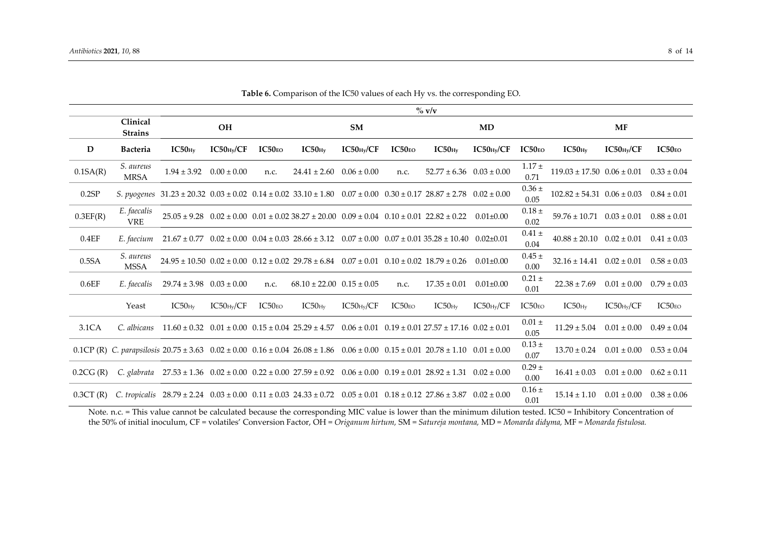|          |                            |                                                                                                                                                               | $\%$ v/v               |                    |                                                                                                                                     |                        |                                |                                  |                        |                    |                                    |                        |                    |
|----------|----------------------------|---------------------------------------------------------------------------------------------------------------------------------------------------------------|------------------------|--------------------|-------------------------------------------------------------------------------------------------------------------------------------|------------------------|--------------------------------|----------------------------------|------------------------|--------------------|------------------------------------|------------------------|--------------------|
|          | Clinical<br><b>Strains</b> |                                                                                                                                                               | <b>OH</b>              |                    |                                                                                                                                     | <b>SM</b>              |                                |                                  | MD                     |                    |                                    | MF                     |                    |
| D        | <b>Bacteria</b>            | IC50 <sub>Hy</sub>                                                                                                                                            | IC50 <sub>Hy</sub> /CF | IC50 <sub>EO</sub> | IC50 <sub>Hy</sub>                                                                                                                  | IC50 <sub>Hy</sub> /CF | IC50 <sub>EO</sub>             | IC50 <sub>Hy</sub>               | IC50 <sub>Hy</sub> /CF | IC50 <sub>EO</sub> | IC50 <sub>Hy</sub>                 | IC50 <sub>Hy</sub> /CF | IC50 <sub>EO</sub> |
| 0.1SA(R) | S. aureus<br><b>MRSA</b>   | $1.94 \pm 3.92$                                                                                                                                               | $0.00 \pm 0.00$        | n.c.               | $24.41 \pm 2.60$ $0.06 \pm 0.00$                                                                                                    |                        | n.c.                           | $52.77 \pm 6.36$ $0.03 \pm 0.00$ |                        | $1.17 \pm$<br>0.71 | $119.03 \pm 17.50$ $0.06 \pm 0.01$ |                        | $0.33 \pm 0.04$    |
| 0.2SP    |                            | S. pyogenes $31.23 \pm 20.32$ $0.03 \pm 0.02$ $0.14 \pm 0.02$ $33.10 \pm 1.80$ $0.07 \pm 0.00$ $0.30 \pm 0.17$ $28.87 \pm 2.78$ $0.02 \pm 0.00$               |                        |                    |                                                                                                                                     |                        |                                |                                  |                        | $0.36 \pm$<br>0.05 | $102.82 \pm 54.31$ $0.06 \pm 0.03$ |                        | $0.84 \pm 0.01$    |
| 0.3EF(R) | E. faecalis<br><b>VRE</b>  |                                                                                                                                                               |                        |                    | $25.05 \pm 9.28$ 0.02 $\pm$ 0.00 0.01 $\pm$ 0.02 38.27 $\pm$ 20.00 0.09 $\pm$ 0.04 0.10 $\pm$ 0.01 22.82 $\pm$ 0.22                 |                        |                                |                                  | $0.01 \pm 0.00$        | $0.18 \pm$<br>0.02 | $59.76 \pm 10.71$ $0.03 \pm 0.01$  |                        | $0.88 \pm 0.01$    |
| 0.4EF    | E. faecium                 |                                                                                                                                                               |                        |                    | $21.67 \pm 0.77$ $0.02 \pm 0.00$ $0.04 \pm 0.03$ $28.66 \pm 3.12$ $0.07 \pm 0.00$ $0.07 \pm 0.01$ $35.28 \pm 10.40$                 |                        |                                |                                  | $0.02 \pm 0.01$        | $0.41 \pm$<br>0.04 | $40.88 \pm 20.10$ $0.02 \pm 0.01$  |                        | $0.41 \pm 0.03$    |
| 0.5SA    | S. aureus<br><b>MSSA</b>   | $24.95 \pm 10.50$ $0.02 \pm 0.00$ $0.12 \pm 0.02$ $29.78 \pm 6.84$ $0.07 \pm 0.01$ $0.10 \pm 0.02$ $18.79 \pm 0.26$                                           |                        |                    |                                                                                                                                     |                        |                                |                                  | $0.01 \pm 0.00$        | $0.45 \pm$<br>0.00 | $32.16 \pm 14.41$ $0.02 \pm 0.01$  |                        | $0.58 \pm 0.03$    |
| 0.6EF    | E. faecalis                | $29.74 \pm 3.98$ $0.03 \pm 0.00$                                                                                                                              |                        | n.c.               | $68.10 \pm 22.00$ $0.15 \pm 0.05$                                                                                                   |                        | n.c.                           | $17.35 \pm 0.01$                 | $0.01 \pm 0.00$        | $0.21 \pm$<br>0.01 | $22.38 \pm 7.69$                   | $0.01 \pm 0.00$        | $0.79 \pm 0.03$    |
|          | Yeast                      | IC50 <sub>Hy</sub>                                                                                                                                            | IC50 <sub>Hy</sub> /CF | IC50 <sub>EO</sub> | IC50 <sub>Hy</sub>                                                                                                                  | IC50 <sub>Hy</sub> /CF | IC <sub>50</sub> <sub>EO</sub> | IC50 <sub>Hy</sub>               | IC50 <sub>Hy</sub> /CF | IC50 <sub>EO</sub> | IC50 <sub>Hy</sub>                 | IC50 <sub>Hy</sub> /CF | IC50 <sub>EO</sub> |
| 3.1CA    | C. albicans                |                                                                                                                                                               |                        |                    | $11.60 \pm 0.32$ $0.01 \pm 0.00$ $0.15 \pm 0.04$ $25.29 \pm 4.57$ $0.06 \pm 0.01$ $0.19 \pm 0.01$ $27.57 \pm 17.16$ $0.02 \pm 0.01$ |                        |                                |                                  |                        | $0.01 \pm$<br>0.05 | $11.29 \pm 5.04$ $0.01 \pm 0.00$   |                        | $0.49 \pm 0.04$    |
|          |                            | 0.1 CP (R) C. parapsilosis $20.75 \pm 3.63$ 0.02 $\pm$ 0.00 0.16 $\pm$ 0.04 26.08 $\pm$ 1.86 0.06 $\pm$ 0.00 0.15 $\pm$ 0.01 20.78 $\pm$ 1.10 0.01 $\pm$ 0.00 |                        |                    |                                                                                                                                     |                        |                                |                                  |                        | $0.13 \pm$<br>0.07 | $13.70 \pm 0.24$ $0.01 \pm 0.00$   |                        | $0.53 \pm 0.04$    |
|          |                            | $0.2CG$ (R) C. glabrata $27.53 \pm 1.36$ $0.02 \pm 0.00$ $0.22 \pm 0.00$ $27.59 \pm 0.92$ $0.06 \pm 0.00$ $0.19 \pm 0.01$ $28.92 \pm 1.31$ $0.02 \pm 0.00$    |                        |                    |                                                                                                                                     |                        |                                |                                  |                        | $0.29 \pm$<br>0.00 | $16.41 \pm 0.03$                   | $0.01 \pm 0.00$        | $0.62 \pm 0.11$    |
|          |                            | $0.3CT$ (R) C. tropicalis $28.79 \pm 2.24$ $0.03 \pm 0.00$ $0.11 \pm 0.03$ $24.33 \pm 0.72$ $0.05 \pm 0.01$ $0.18 \pm 0.12$ $27.86 \pm 3.87$ $0.02 \pm 0.00$  |                        |                    |                                                                                                                                     |                        |                                |                                  |                        | $0.16 \pm$<br>0.01 | $15.14 \pm 1.10$                   | $0.01 \pm 0.00$        | $0.38 \pm 0.06$    |

**Table 6.** Comparison of the IC50 values of each Hy vs. the corresponding EO.

Note. n.c. = This value cannot be calculated because the corresponding MIC value is lower than the minimum dilution tested. IC50 = Inhibitory Concentration of the 50% of initial inoculum, CF = volatiles' Conversion Factor, OH = *Origanum hirtum,* SM = *Satureja montana,* MD = *Monarda didyma,* MF = *Monarda fistulosa.*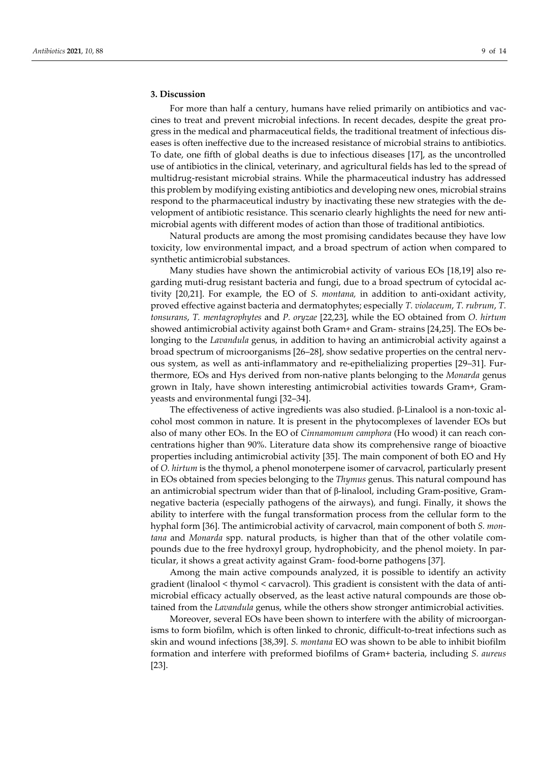## **3. Discussion**

For more than half a century, humans have relied primarily on antibiotics and vaccines to treat and prevent microbial infections. In recent decades, despite the great progress in the medical and pharmaceutical fields, the traditional treatment of infectious diseases is often ineffective due to the increased resistance of microbial strains to antibiotics. To date, one fifth of global deaths is due to infectious diseases [17], as the uncontrolled use of antibiotics in the clinical, veterinary, and agricultural fields has led to the spread of multidrug-resistant microbial strains. While the pharmaceutical industry has addressed this problem by modifying existing antibiotics and developing new ones, microbial strains respond to the pharmaceutical industry by inactivating these new strategies with the development of antibiotic resistance. This scenario clearly highlights the need for new antimicrobial agents with different modes of action than those of traditional antibiotics.

Natural products are among the most promising candidates because they have low toxicity, low environmental impact, and a broad spectrum of action when compared to synthetic antimicrobial substances.

Many studies have shown the antimicrobial activity of various EOs [18,19] also regarding muti-drug resistant bacteria and fungi, due to a broad spectrum of cytocidal activity [20,21]. For example, the EO of *S. montana,* in addition to anti-oxidant activity, proved effective against bacteria and dermatophytes; especially *T. violaceum*, *T. rubrum*, *T. tonsurans*, *T. mentagrophytes* and *P. oryzae* [22,23], while the EO obtained from *O. hirtum* showed antimicrobial activity against both Gram+ and Gram- strains [24,25]. The EOs belonging to the *Lavandula* genus, in addition to having an antimicrobial activity against a broad spectrum of microorganisms [26–28], show sedative properties on the central nervous system, as well as anti-inflammatory and re-epithelializing properties [29–31]. Furthermore, EOs and Hys derived from non-native plants belonging to the *Monarda* genus grown in Italy, have shown interesting antimicrobial activities towards Gram+, Gramyeasts and environmental fungi [32–34].

The effectiveness of active ingredients was also studied. β-Linalool is a non-toxic alcohol most common in nature. It is present in the phytocomplexes of lavender EOs but also of many other EOs. In the EO of *Cinnamomum camphora* (Ho wood) it can reach concentrations higher than 90%. Literature data show its comprehensive range of bioactive properties including antimicrobial activity [35]. The main component of both EO and Hy of *O. hirtum* is the thymol, a phenol monoterpene isomer of carvacrol, particularly present in EOs obtained from species belonging to the *Thymus* genus. This natural compound has an antimicrobial spectrum wider than that of β-linalool, including Gram-positive, Gramnegative bacteria (especially pathogens of the airways), and fungi. Finally, it shows the ability to interfere with the fungal transformation process from the cellular form to the hyphal form [36]. The antimicrobial activity of carvacrol, main component of both *S. montana* and *Monarda* spp. natural products, is higher than that of the other volatile compounds due to the free hydroxyl group, hydrophobicity, and the phenol moiety. In particular, it shows a great activity against Gram- food-borne pathogens [37].

Among the main active compounds analyzed, it is possible to identify an activity gradient (linalool < thymol < carvacrol). This gradient is consistent with the data of antimicrobial efficacy actually observed, as the least active natural compounds are those obtained from the *Lavandula* genus, while the others show stronger antimicrobial activities.

Moreover, several EOs have been shown to interfere with the ability of microorganisms to form biofilm, which is often linked to chronic, difficult-to-treat infections such as skin and wound infections [38,39]. *S. montana* EO was shown to be able to inhibit biofilm formation and interfere with preformed biofilms of Gram+ bacteria, including *S. aureus* [23].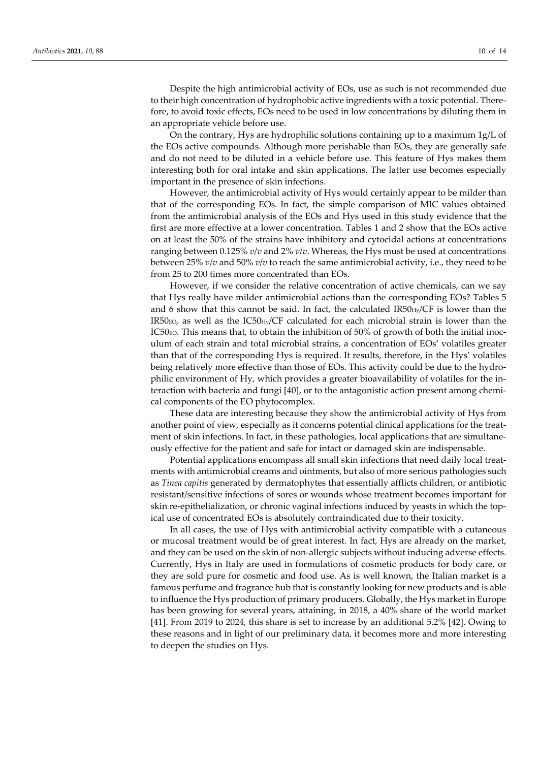Despite the high antimicrobial activity of EOs, use as such is not recommended due to their high concentration of hydrophobic active ingredients with a toxic potential. Therefore, to avoid toxic effects, EOs need to be used in low concentrations by diluting them in an appropriate vehicle before use.

On the contrary, Hys are hydrophilic solutions containing up to a maximum 1g/L of the EOs active compounds. Although more perishable than EOs, they are generally safe and do not need to be diluted in a vehicle before use. This feature of Hys makes them interesting both for oral intake and skin applications. The latter use becomes especially important in the presence of skin infections.

However, the antimicrobial activity of Hys would certainly appear to be milder than that of the corresponding EOs. In fact, the simple comparison of MIC values obtained from the antimicrobial analysis of the EOs and Hys used in this study evidence that the first are more effective at a lower concentration. Tables 1 and 2 show that the EOs active on at least the 50% of the strains have inhibitory and cytocidal actions at concentrations ranging between 0.125% *v*/*v* and 2% *v*/*v*. Whereas, the Hys must be used at concentrations between 25% *v*/*v* and 50% *v*/*v* to reach the same antimicrobial activity, i.e., they need to be from 25 to 200 times more concentrated than EOs.

However, if we consider the relative concentration of active chemicals, can we say that Hys really have milder antimicrobial actions than the corresponding EOs? Tables 5 and 6 show that this cannot be said. In fact, the calculated IR50 $_{\rm Hy}/\rm CF$  is lower than the IR50EO, as well as the IC50Hy/CF calculated for each microbial strain is lower than the IC50 $E_{\rm 50}$ . This means that, to obtain the inhibition of 50% of growth of both the initial inoculum of each strain and total microbial strains, a concentration of EOs' volatiles greater than that of the corresponding Hys is required. It results, therefore, in the Hys' volatiles being relatively more effective than those of EOs. This activity could be due to the hydrophilic environment of Hy, which provides a greater bioavailability of volatiles for the interaction with bacteria and fungi [40], or to the antagonistic action present among chemical components of the EO phytocomplex.

These data are interesting because they show the antimicrobial activity of Hys from another point of view, especially as it concerns potential clinical applications for the treatment of skin infections. In fact, in these pathologies, local applications that are simultaneously effective for the patient and safe for intact or damaged skin are indispensable.

Potential applications encompass all small skin infections that need daily local treatments with antimicrobial creams and ointments, but also of more serious pathologies such as *Tinea capitis* generated by dermatophytes that essentially afflicts children, or antibiotic resistant/sensitive infections of sores or wounds whose treatment becomes important for skin re-epithelialization, or chronic vaginal infections induced by yeasts in which the topical use of concentrated EOs is absolutely contraindicated due to their toxicity.

In all cases, the use of Hys with antimicrobial activity compatible with a cutaneous or mucosal treatment would be of great interest. In fact, Hys are already on the market, and they can be used on the skin of non-allergic subjects without inducing adverse effects. Currently, Hys in Italy are used in formulations of cosmetic products for body care, or they are sold pure for cosmetic and food use. As is well known, the Italian market is a famous perfume and fragrance hub that is constantly looking for new products and is able to influence the Hys production of primary producers. Globally, the Hys market in Europe has been growing for several years, attaining, in 2018, a 40% share of the world market [41]. From 2019 to 2024, this share is set to increase by an additional 5.2% [42]. Owing to these reasons and in light of our preliminary data, it becomes more and more interesting to deepen the studies on Hys.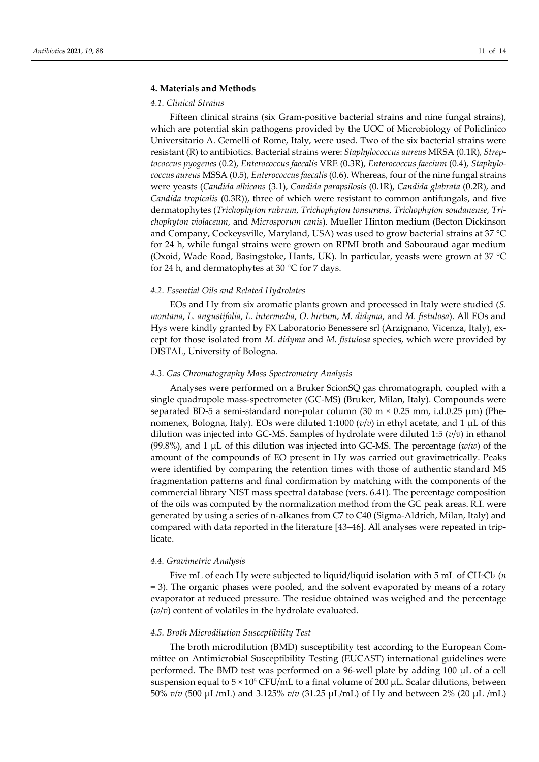#### **4. Materials and Methods**

#### *4.1. Clinical Strains*

Fifteen clinical strains (six Gram-positive bacterial strains and nine fungal strains), which are potential skin pathogens provided by the UOC of Microbiology of Policlinico Universitario A. Gemelli of Rome, Italy, were used. Two of the six bacterial strains were resistant (R) to antibiotics. Bacterial strains were: *Staphylococcus aureus* MRSA (0.1R), *Streptococcus pyogenes* (0.2), *Enterococcus faecalis* VRE (0.3R), *Enterococcus faecium* (0.4), *Staphylococcus aureus* MSSA (0.5), *Enterococcus faecalis* (0.6). Whereas, four of the nine fungal strains were yeasts (*Candida albicans* (3.1), *Candida parapsilosis* (0.1R), *Candida glabrata* (0.2R), and *Candida tropicalis* (0.3R)), three of which were resistant to common antifungals, and five dermatophytes (*Trichophyton rubrum*, *Trichophyton tonsurans*, *Trichophyton soudanense*, *Trichophyton violaceum*, and *Microsporum canis*). Mueller Hinton medium (Becton Dickinson and Company, Cockeysville, Maryland, USA) was used to grow bacterial strains at 37 °C for 24 h, while fungal strains were grown on RPMI broth and Sabouraud agar medium (Oxoid, Wade Road, Basingstoke, Hants, UK). In particular, yeasts were grown at 37 °C for 24 h, and dermatophytes at 30 °C for 7 days.

#### *4.2. Essential Oils and Related Hydrolates*

EOs and Hy from six aromatic plants grown and processed in Italy were studied (*S. montana*, *L. angustifolia*, *L. intermedia*, *O. hirtum*, *M. didyma*, and *M. fistulosa*). All EOs and Hys were kindly granted by FX Laboratorio Benessere srl (Arzignano, Vicenza, Italy), except for those isolated from *M. didyma* and *M. fistulosa* species, which were provided by DISTAL, University of Bologna.

#### *4.3. Gas Chromatography Mass Spectrometry Analysis*

Analyses were performed on a Bruker ScionSQ gas chromatograph, coupled with a single quadrupole mass-spectrometer (GC-MS) (Bruker, Milan, Italy). Compounds were separated BD-5 a semi-standard non-polar column (30 m  $\times$  0.25 mm, i.d.0.25  $\mu$ m) (Phenomenex, Bologna, Italy). EOs were diluted 1:1000 (*v*/*v*) in ethyl acetate, and 1 μL of this dilution was injected into GC-MS. Samples of hydrolate were diluted 1:5 (*v*/*v*) in ethanol (99.8%), and 1 μL of this dilution was injected into GC-MS. The percentage (*w*/*w*) of the amount of the compounds of EO present in Hy was carried out gravimetrically. Peaks were identified by comparing the retention times with those of authentic standard MS fragmentation patterns and final confirmation by matching with the components of the commercial library NIST mass spectral database (vers. 6.41). The percentage composition of the oils was computed by the normalization method from the GC peak areas. R.I. were generated by using a series of n-alkanes from C7 to C40 (Sigma-Aldrich, Milan, Italy) and compared with data reported in the literature [43–46]. All analyses were repeated in triplicate.

#### *4.4. Gravimetric Analysis*

Five mL of each Hy were subjected to liquid/liquid isolation with 5 mL of CH2Cl2 (*n* = 3). The organic phases were pooled, and the solvent evaporated by means of a rotary evaporator at reduced pressure. The residue obtained was weighed and the percentage (*w*/*v*) content of volatiles in the hydrolate evaluated.

#### *4.5. Broth Microdilution Susceptibility Test*

The broth microdilution (BMD) susceptibility test according to the European Committee on Antimicrobial Susceptibility Testing (EUCAST) international guidelines were performed. The BMD test was performed on a 96-well plate by adding 100 μL of a cell suspension equal to  $5 \times 10^5$  CFU/mL to a final volume of 200  $\mu$ L. Scalar dilutions, between 50% *v*/*v* (500 μL/mL) and 3.125% *v*/*v* (31.25 μL/mL) of Hy and between 2% (20 μL /mL)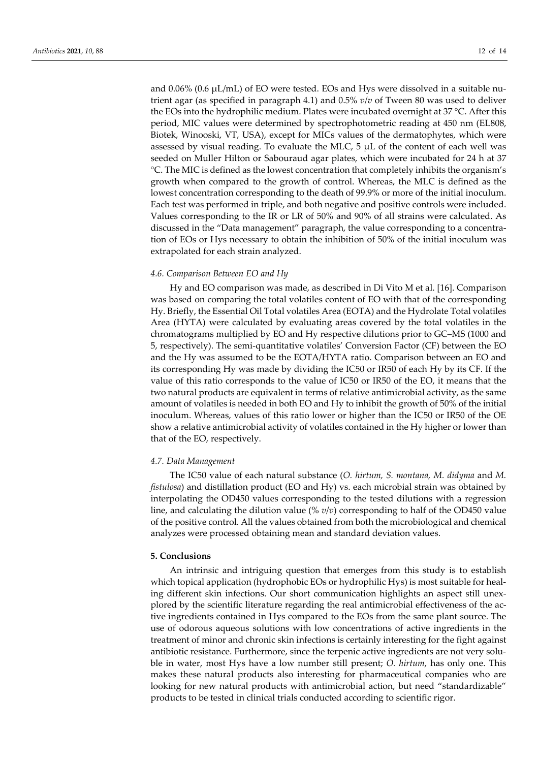and 0.06% (0.6 μL/mL) of EO were tested. EOs and Hys were dissolved in a suitable nutrient agar (as specified in paragraph 4.1) and 0.5% *v*/*v* of Tween 80 was used to deliver the EOs into the hydrophilic medium. Plates were incubated overnight at 37 °C. After this period, MIC values were determined by spectrophotometric reading at 450 nm (EL808, Biotek, Winooski, VT, USA), except for MICs values of the dermatophytes, which were assessed by visual reading. To evaluate the MLC,  $5 \mu L$  of the content of each well was seeded on Muller Hilton or Sabouraud agar plates, which were incubated for 24 h at 37 °C. The MIC is defined as the lowest concentration that completely inhibits the organism's growth when compared to the growth of control. Whereas, the MLC is defined as the lowest concentration corresponding to the death of 99.9% or more of the initial inoculum. Each test was performed in triple, and both negative and positive controls were included. Values corresponding to the IR or LR of 50% and 90% of all strains were calculated. As discussed in the "Data management" paragraph, the value corresponding to a concentration of EOs or Hys necessary to obtain the inhibition of 50% of the initial inoculum was extrapolated for each strain analyzed.

#### *4.6. Comparison Between EO and Hy*

Hy and EO comparison was made, as described in Di Vito M et al. [16]. Comparison was based on comparing the total volatiles content of EO with that of the corresponding Hy. Briefly, the Essential Oil Total volatiles Area (EOTA) and the Hydrolate Total volatiles Area (HYTA) were calculated by evaluating areas covered by the total volatiles in the chromatograms multiplied by EO and Hy respective dilutions prior to GC–MS (1000 and 5, respectively). The semi-quantitative volatiles' Conversion Factor (CF) between the EO and the Hy was assumed to be the EOTA/HYTA ratio. Comparison between an EO and its corresponding Hy was made by dividing the IC50 or IR50 of each Hy by its CF. If the value of this ratio corresponds to the value of IC50 or IR50 of the EO, it means that the two natural products are equivalent in terms of relative antimicrobial activity, as the same amount of volatiles is needed in both EO and Hy to inhibit the growth of 50% of the initial inoculum. Whereas, values of this ratio lower or higher than the IC50 or IR50 of the OE show a relative antimicrobial activity of volatiles contained in the Hy higher or lower than that of the EO, respectively.

#### *4.7. Data Management*

The IC50 value of each natural substance (*O. hirtum, S. montana, M. didyma* and *M. fistulosa*) and distillation product (EO and Hy) vs. each microbial strain was obtained by interpolating the OD450 values corresponding to the tested dilutions with a regression line, and calculating the dilution value (% *v*/*v*) corresponding to half of the OD450 value of the positive control. All the values obtained from both the microbiological and chemical analyzes were processed obtaining mean and standard deviation values.

### **5. Conclusions**

An intrinsic and intriguing question that emerges from this study is to establish which topical application (hydrophobic EOs or hydrophilic Hys) is most suitable for healing different skin infections. Our short communication highlights an aspect still unexplored by the scientific literature regarding the real antimicrobial effectiveness of the active ingredients contained in Hys compared to the EOs from the same plant source. The use of odorous aqueous solutions with low concentrations of active ingredients in the treatment of minor and chronic skin infections is certainly interesting for the fight against antibiotic resistance. Furthermore, since the terpenic active ingredients are not very soluble in water, most Hys have a low number still present; *O. hirtum*, has only one. This makes these natural products also interesting for pharmaceutical companies who are looking for new natural products with antimicrobial action, but need "standardizable" products to be tested in clinical trials conducted according to scientific rigor.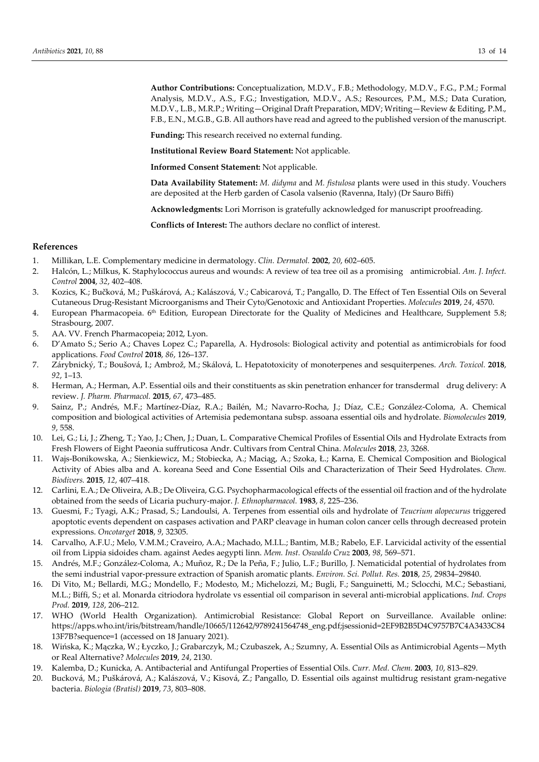**Author Contributions:** Conceptualization, M.D.V., F.B.; Methodology, M.D.V., F.G., P.M.; Formal Analysis, M.D.V., A.S., F.G.; Investigation, M.D.V., A.S.; Resources, P.M., M.S.; Data Curation, M.D.V., L.B., M.R.P.; Writing—Original Draft Preparation, MDV; Writing—Review & Editing, P.M., F.B., E.N., M.G.B., G.B. All authors have read and agreed to the published version of the manuscript.

**Funding:** This research received no external funding.

**Institutional Review Board Statement:** Not applicable.

**Informed Consent Statement:** Not applicable.

**Data Availability Statement:** *M. didyma* and *M. fistulosa* plants were used in this study. Vouchers are deposited at the Herb garden of Casola valsenio (Ravenna, Italy) (Dr Sauro Biffi)

**Acknowledgments:** Lori Morrison is gratefully acknowledged for manuscript proofreading.

**Conflicts of Interest:** The authors declare no conflict of interest.

## **References**

- 1. Millikan, L.E. Complementary medicine in dermatology. *Clin. Dermatol.* **2002**, *20*, 602–605.
- 2. Halcón, L.; Milkus, K. Staphylococcus aureus and wounds: A review of tea tree oil as a promising antimicrobial. *Am. J. Infect. Control* **2004**, *32*, 402–408.
- 3. Kozics, K.; Bučková, M.; Puškárová, A.; Kalászová, V.; Cabicarová, T.; Pangallo, D. The Effect of Ten Essential Oils on Several Cutaneous Drug-Resistant Microorganisms and Their Cyto/Genotoxic and Antioxidant Properties. *Molecules* **2019**, *24*, 4570.
- 4. European Pharmacopeia. 6th Edition, European Directorate for the Quality of Medicines and Healthcare, Supplement 5.8; Strasbourg, 2007.
- 5. AA. VV. French Pharmacopeia; 2012, Lyon.
- 6. D'Amato S.; Serio A.; Chaves Lopez C.; Paparella, A. Hydrosols: Biological activity and potential as antimicrobials for food applications. *Food Control* **2018**, *86*, 126–137.
- 7. Zárybnický, T.; Boušová, I.; Ambrož, M.; Skálová, L. Hepatotoxicity of monoterpenes and sesquiterpenes. *Arch. Toxicol.* **2018**, *92*, 1–13.
- 8. Herman, A.; Herman, A.P. Essential oils and their constituents as skin penetration enhancer for transdermal drug delivery: A review. *J. Pharm. Pharmacol.* **2015**, *67*, 473–485.
- 9. Sainz, P.; Andrés, M.F.; Martínez-Díaz, R.A.; Bailén, M.; Navarro-Rocha, J.; Díaz, C.E.; González-Coloma, A. Chemical composition and biological activities of Artemisia pedemontana subsp. assoana essential oils and hydrolate. *Biomolecules* **2019**, *9*, 558.
- 10. Lei, G.; Li, J.; Zheng, T.; Yao, J.; Chen, J.; Duan, L. Comparative Chemical Profiles of Essential Oils and Hydrolate Extracts from Fresh Flowers of Eight Paeonia suffruticosa Andr. Cultivars from Central China. *Molecules* **2018**, *23*, 3268.
- 11. Wajs-Bonikowska, A.; Sienkiewicz, M.; Stobiecka, A.; Maciąg, A.; Szoka, Ł.; Karna, E. Chemical Composition and Biological Activity of Abies alba and A. koreana Seed and Cone Essential Oils and Characterization of Their Seed Hydrolates. *Chem. Biodivers.* **2015**, *12*, 407–418.
- 12. Carlini, E.A.; De Oliveira, A.B.; De Oliveira, G.G. Psychopharmacological effects of the essential oil fraction and of the hydrolate obtained from the seeds of Licaria puchury-major. *J. Ethnopharmacol.* **1983**, *8*, 225–236.
- 13. Guesmi, F.; Tyagi, A.K.; Prasad, S.; Landoulsi, A. Terpenes from essential oils and hydrolate of *Teucrium alopecurus* triggered apoptotic events dependent on caspases activation and PARP cleavage in human colon cancer cells through decreased protein expressions. *Oncotarget* **2018**, *9*, 32305.
- 14. Carvalho, A.F.U.; Melo, V.M.M.; Craveiro, A.A.; Machado, M.I.L.; Bantim, M.B.; Rabelo, E.F. Larvicidal activity of the essential oil from Lippia sidoides cham. against Aedes aegypti linn. *Mem. Inst. Oswaldo Cruz* **2003**, *98*, 569–571.
- 15. Andrés, M.F.; González-Coloma, A.; Muñoz, R.; De la Peña, F.; Julio, L.F.; Burillo, J. Nematicidal potential of hydrolates from the semi industrial vapor-pressure extraction of Spanish aromatic plants. *Environ. Sci. Pollut. Res.* **2018**, *25*, 29834–29840.
- 16. Di Vito, M.; Bellardi, M.G.; Mondello, F.; Modesto, M.; Michelozzi, M.; Bugli, F.; Sanguinetti, M.; Sclocchi, M.C.; Sebastiani, M.L.; Biffi, S.; et al. Monarda citriodora hydrolate vs essential oil comparison in several anti-microbial applications. *Ind. Crops Prod.* **2019**, *128*, 206–212.
- 17. WHO (World Health Organization). Antimicrobial Resistance: Global Report on Surveillance. Available online: https://apps.who.int/iris/bitstream/handle/10665/112642/9789241564748\_eng.pdf;jsessionid=2EF9B2B5D4C9757B7C4A3433C84 13F7B?sequence=1 (accessed on 18 January 2021).
- 18. Wińska, K.; Mączka, W.; Łyczko, J.; Grabarczyk, M.; Czubaszek, A.; Szumny, A. Essential Oils as Antimicrobial Agents—Myth or Real Alternative? *Molecules* **2019**, *24*, 2130.
- 19. Kalemba, D.; Kunicka, A. Antibacterial and Antifungal Properties of Essential Oils. *Curr. Med. Chem.* **2003**, *10*, 813–829.
- 20. Bucková, M.; Puškárová, A.; Kalászová, V.; Kisová, Z.; Pangallo, D. Essential oils against multidrug resistant gram-negative bacteria. *Biologia (Bratisl)* **2019**, *73*, 803–808.